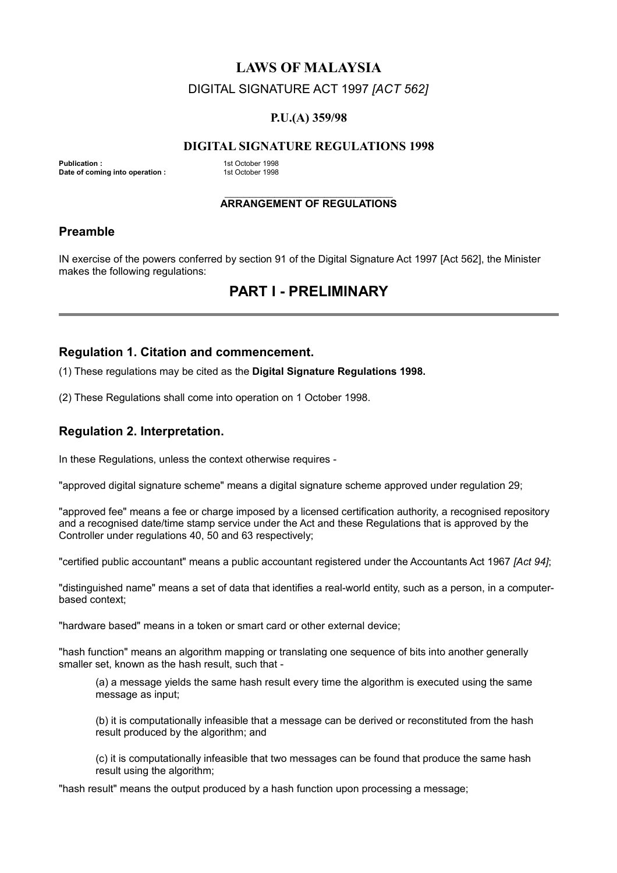## **LAWS OF MALAYSIA**

## DIGITAL SIGNATURE ACT 1997 *[ACT 562]*

#### **P.U.(A) 359/98**

#### **DIGITAL SIGNATURE REGULATIONS 1998**

**Publication : 1st October 1998**<br> **Date of coming into operation : 1st October 1998 Date of coming into operation :** 

#### $\mathcal{L}_\text{max}$  , where  $\mathcal{L}_\text{max}$  , we have the set of  $\mathcal{L}_\text{max}$ **ARRANGEMENT OF REGULATIONS**

## **Preamble**

IN exercise of the powers conferred by section 91 of the Digital Signature Act 1997 [Act 562], the Minister makes the following regulations:

# **PART I - PRELIMINARY**

#### **Regulation 1. Citation and commencement.**

(1) These regulations may be cited as the **Digital Signature Regulations 1998.**

(2) These Regulations shall come into operation on 1 October 1998.

## **Regulation 2. Interpretation.**

In these Regulations, unless the context otherwise requires -

"approved digital signature scheme" means a digital signature scheme approved under regulation 29;

"approved fee" means a fee or charge imposed by a licensed certification authority, a recognised repository and a recognised date/time stamp service under the Act and these Regulations that is approved by the Controller under regulations 40, 50 and 63 respectively;

"certified public accountant" means a public accountant registered under the Accountants Act 1967 *[Act 94]*;

"distinguished name" means a set of data that identifies a real-world entity, such as a person, in a computerbased context;

"hardware based" means in a token or smart card or other external device;

"hash function" means an algorithm mapping or translating one sequence of bits into another generally smaller set, known as the hash result, such that -

(a) a message yields the same hash result every time the algorithm is executed using the same message as input;

(b) it is computationally infeasible that a message can be derived or reconstituted from the hash result produced by the algorithm; and

(c) it is computationally infeasible that two messages can be found that produce the same hash result using the algorithm;

"hash result" means the output produced by a hash function upon processing a message;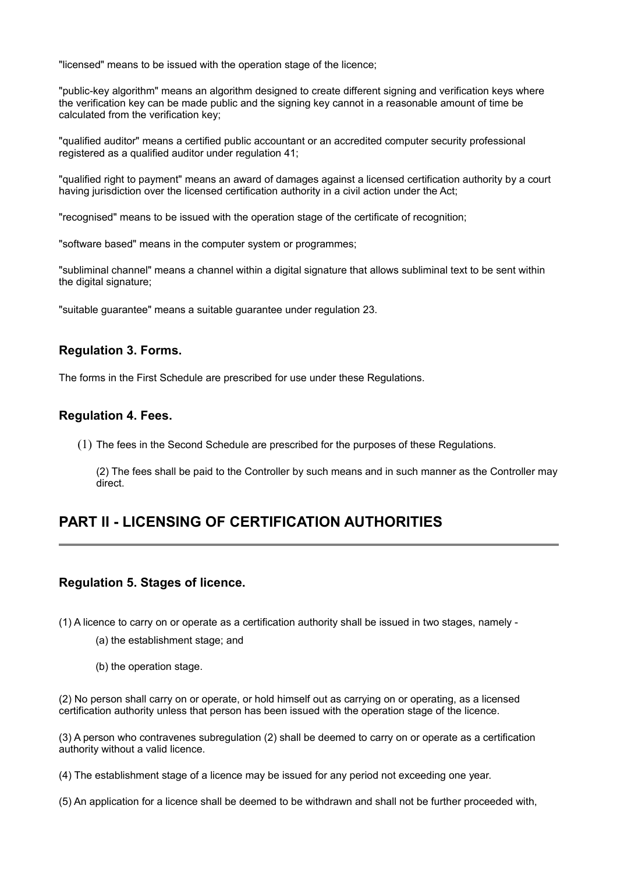"licensed" means to be issued with the operation stage of the licence;

"public-key algorithm" means an algorithm designed to create different signing and verification keys where the verification key can be made public and the signing key cannot in a reasonable amount of time be calculated from the verification key;

"qualified auditor" means a certified public accountant or an accredited computer security professional registered as a qualified auditor under regulation 41;

"qualified right to payment" means an award of damages against a licensed certification authority by a court having jurisdiction over the licensed certification authority in a civil action under the Act;

"recognised" means to be issued with the operation stage of the certificate of recognition;

"software based" means in the computer system or programmes;

"subliminal channel" means a channel within a digital signature that allows subliminal text to be sent within the digital signature:

"suitable guarantee" means a suitable guarantee under regulation 23.

## **Regulation 3. Forms.**

The forms in the First Schedule are prescribed for use under these Regulations.

### **Regulation 4. Fees.**

(1) The fees in the Second Schedule are prescribed for the purposes of these Regulations.

(2) The fees shall be paid to the Controller by such means and in such manner as the Controller may direct.

# **PART II - LICENSING OF CERTIFICATION AUTHORITIES**

### **Regulation 5. Stages of licence.**

(1) A licence to carry on or operate as a certification authority shall be issued in two stages, namely -

- (a) the establishment stage; and
- (b) the operation stage.

(2) No person shall carry on or operate, or hold himself out as carrying on or operating, as a licensed certification authority unless that person has been issued with the operation stage of the licence.

(3) A person who contravenes subregulation (2) shall be deemed to carry on or operate as a certification authority without a valid licence.

(4) The establishment stage of a licence may be issued for any period not exceeding one year.

(5) An application for a licence shall be deemed to be withdrawn and shall not be further proceeded with,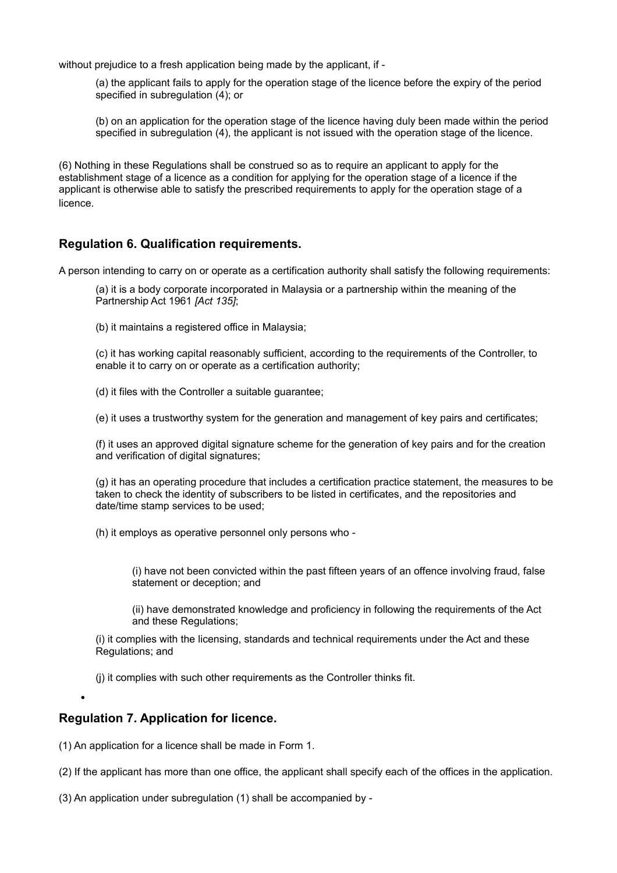without prejudice to a fresh application being made by the applicant, if -

(a) the applicant fails to apply for the operation stage of the licence before the expiry of the period specified in subregulation (4); or

(b) on an application for the operation stage of the licence having duly been made within the period specified in subregulation (4), the applicant is not issued with the operation stage of the licence.

(6) Nothing in these Regulations shall be construed so as to require an applicant to apply for the establishment stage of a licence as a condition for applying for the operation stage of a licence if the applicant is otherwise able to satisfy the prescribed requirements to apply for the operation stage of a licence.

## **Regulation 6. Qualification requirements.**

A person intending to carry on or operate as a certification authority shall satisfy the following requirements:

(a) it is a body corporate incorporated in Malaysia or a partnership within the meaning of the Partnership Act 1961 *[Act 135]*;

(b) it maintains a registered office in Malaysia;

(c) it has working capital reasonably sufficient, according to the requirements of the Controller, to enable it to carry on or operate as a certification authority;

(d) it files with the Controller a suitable guarantee;

(e) it uses a trustworthy system for the generation and management of key pairs and certificates;

(f) it uses an approved digital signature scheme for the generation of key pairs and for the creation and verification of digital signatures;

(g) it has an operating procedure that includes a certification practice statement, the measures to be taken to check the identity of subscribers to be listed in certificates, and the repositories and date/time stamp services to be used;

(h) it employs as operative personnel only persons who -

(i) have not been convicted within the past fifteen years of an offence involving fraud, false statement or deception; and

(ii) have demonstrated knowledge and proficiency in following the requirements of the Act and these Regulations;

(i) it complies with the licensing, standards and technical requirements under the Act and these Regulations; and

(j) it complies with such other requirements as the Controller thinks fit.

## **Regulation 7. Application for licence.**

•

(1) An application for a licence shall be made in Form 1.

(2) If the applicant has more than one office, the applicant shall specify each of the offices in the application.

(3) An application under subregulation (1) shall be accompanied by -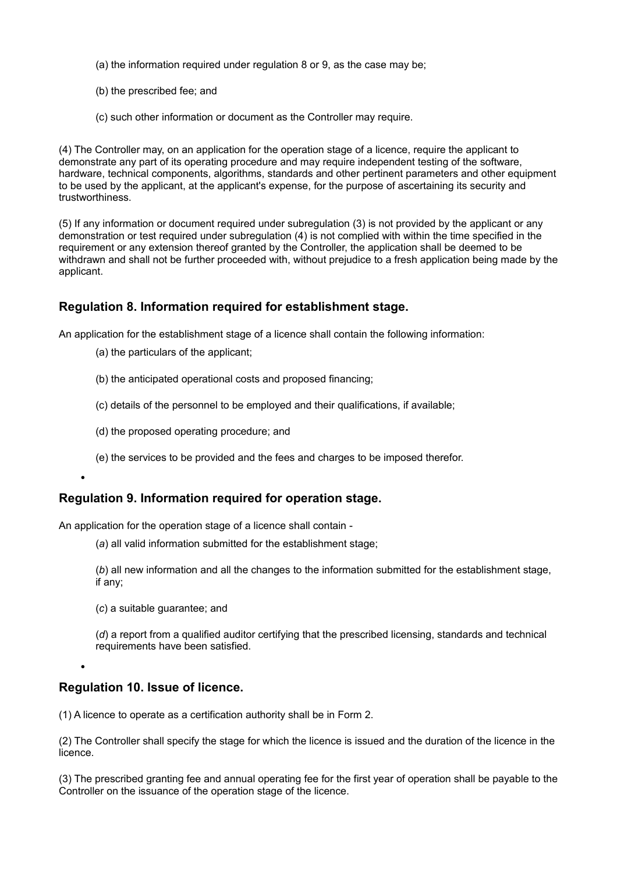- (a) the information required under regulation 8 or 9, as the case may be;
- (b) the prescribed fee; and
- (c) such other information or document as the Controller may require.

(4) The Controller may, on an application for the operation stage of a licence, require the applicant to demonstrate any part of its operating procedure and may require independent testing of the software, hardware, technical components, algorithms, standards and other pertinent parameters and other equipment to be used by the applicant, at the applicant's expense, for the purpose of ascertaining its security and trustworthiness.

(5) If any information or document required under subregulation (3) is not provided by the applicant or any demonstration or test required under subregulation (4) is not complied with within the time specified in the requirement or any extension thereof granted by the Controller, the application shall be deemed to be withdrawn and shall not be further proceeded with, without prejudice to a fresh application being made by the applicant.

## **Regulation 8. Information required for establishment stage.**

An application for the establishment stage of a licence shall contain the following information:

- (a) the particulars of the applicant;
- (b) the anticipated operational costs and proposed financing;
- (c) details of the personnel to be employed and their qualifications, if available;
- (d) the proposed operating procedure; and
- (e) the services to be provided and the fees and charges to be imposed therefor.

### **Regulation 9. Information required for operation stage.**

An application for the operation stage of a licence shall contain -

(*a*) all valid information submitted for the establishment stage;

(*b*) all new information and all the changes to the information submitted for the establishment stage, if any;

(*c*) a suitable guarantee; and

•

•

(*d*) a report from a qualified auditor certifying that the prescribed licensing, standards and technical requirements have been satisfied.

### **Regulation 10. Issue of licence.**

(1) A licence to operate as a certification authority shall be in Form 2.

(2) The Controller shall specify the stage for which the licence is issued and the duration of the licence in the licence.

(3) The prescribed granting fee and annual operating fee for the first year of operation shall be payable to the Controller on the issuance of the operation stage of the licence.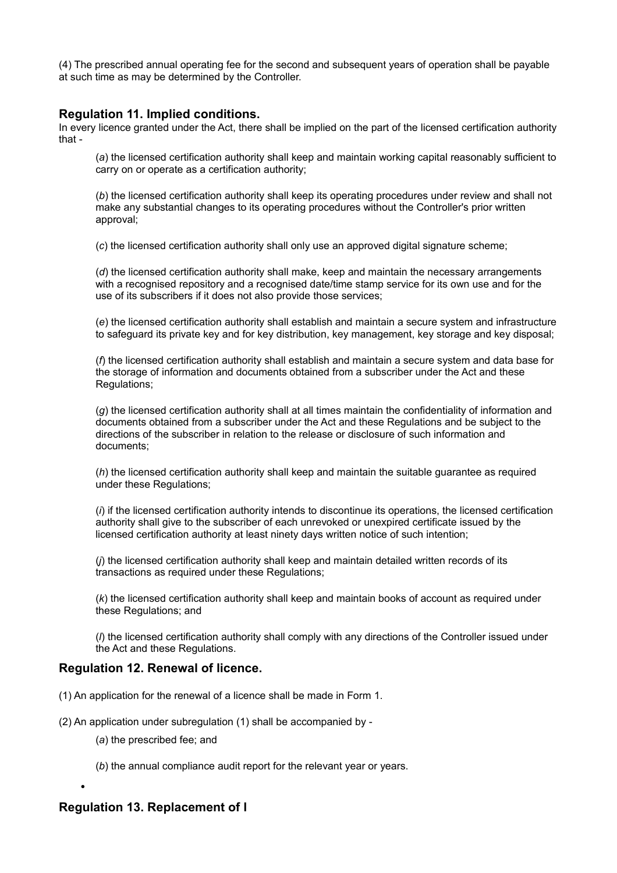(4) The prescribed annual operating fee for the second and subsequent years of operation shall be payable at such time as may be determined by the Controller.

#### **Regulation 11. Implied conditions.**

In every licence granted under the Act, there shall be implied on the part of the licensed certification authority that -

(*a*) the licensed certification authority shall keep and maintain working capital reasonably sufficient to carry on or operate as a certification authority;

(*b*) the licensed certification authority shall keep its operating procedures under review and shall not make any substantial changes to its operating procedures without the Controller's prior written approval;

(*c*) the licensed certification authority shall only use an approved digital signature scheme;

(*d*) the licensed certification authority shall make, keep and maintain the necessary arrangements with a recognised repository and a recognised date/time stamp service for its own use and for the use of its subscribers if it does not also provide those services;

(*e*) the licensed certification authority shall establish and maintain a secure system and infrastructure to safeguard its private key and for key distribution, key management, key storage and key disposal;

(*f*) the licensed certification authority shall establish and maintain a secure system and data base for the storage of information and documents obtained from a subscriber under the Act and these Regulations;

(*g*) the licensed certification authority shall at all times maintain the confidentiality of information and documents obtained from a subscriber under the Act and these Regulations and be subject to the directions of the subscriber in relation to the release or disclosure of such information and documents;

(*h*) the licensed certification authority shall keep and maintain the suitable guarantee as required under these Regulations;

(*i*) if the licensed certification authority intends to discontinue its operations, the licensed certification authority shall give to the subscriber of each unrevoked or unexpired certificate issued by the licensed certification authority at least ninety days written notice of such intention;

(*j*) the licensed certification authority shall keep and maintain detailed written records of its transactions as required under these Regulations;

(*k*) the licensed certification authority shall keep and maintain books of account as required under these Regulations; and

(*l*) the licensed certification authority shall comply with any directions of the Controller issued under the Act and these Regulations.

### **Regulation 12. Renewal of licence.**

- (1) An application for the renewal of a licence shall be made in Form 1.
- (2) An application under subregulation (1) shall be accompanied by
	- (*a*) the prescribed fee; and
	- (*b*) the annual compliance audit report for the relevant year or years.

## **Regulation 13. Replacement of l**

•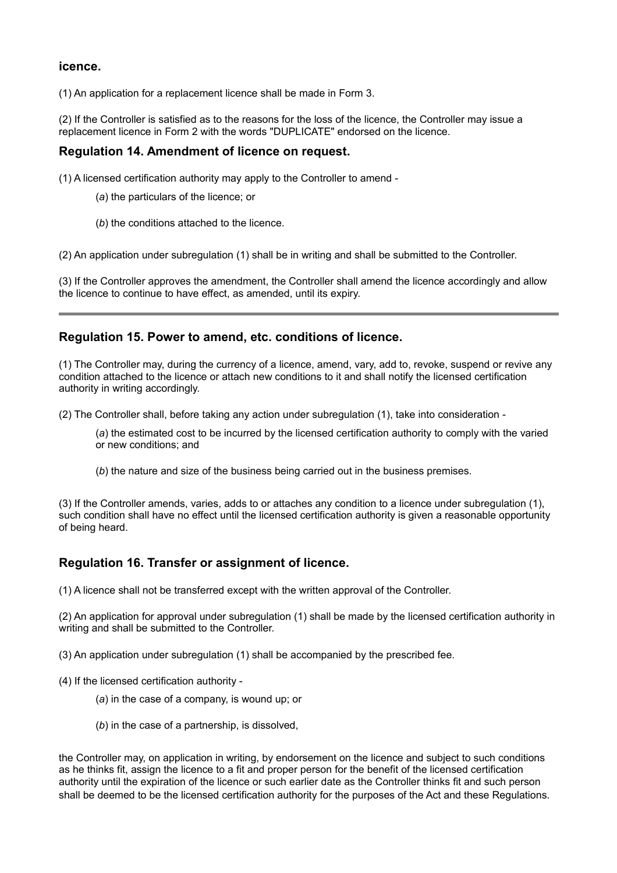### **icence.**

(1) An application for a replacement licence shall be made in Form 3.

(2) If the Controller is satisfied as to the reasons for the loss of the licence, the Controller may issue a replacement licence in Form 2 with the words "DUPLICATE" endorsed on the licence.

### **Regulation 14. Amendment of licence on request.**

(1) A licensed certification authority may apply to the Controller to amend -

- (*a*) the particulars of the licence; or
- (*b*) the conditions attached to the licence.

(2) An application under subregulation (1) shall be in writing and shall be submitted to the Controller.

(3) If the Controller approves the amendment, the Controller shall amend the licence accordingly and allow the licence to continue to have effect, as amended, until its expiry.

### **Regulation 15. Power to amend, etc. conditions of licence.**

(1) The Controller may, during the currency of a licence, amend, vary, add to, revoke, suspend or revive any condition attached to the licence or attach new conditions to it and shall notify the licensed certification authority in writing accordingly.

(2) The Controller shall, before taking any action under subregulation (1), take into consideration -

(*a*) the estimated cost to be incurred by the licensed certification authority to comply with the varied or new conditions; and

(*b*) the nature and size of the business being carried out in the business premises.

(3) If the Controller amends, varies, adds to or attaches any condition to a licence under subregulation (1), such condition shall have no effect until the licensed certification authority is given a reasonable opportunity of being heard.

### **Regulation 16. Transfer or assignment of licence.**

(1) A licence shall not be transferred except with the written approval of the Controller.

(2) An application for approval under subregulation (1) shall be made by the licensed certification authority in writing and shall be submitted to the Controller.

(3) An application under subregulation (1) shall be accompanied by the prescribed fee.

- (4) If the licensed certification authority
	- (*a*) in the case of a company, is wound up; or
	- (*b*) in the case of a partnership, is dissolved,

the Controller may, on application in writing, by endorsement on the licence and subject to such conditions as he thinks fit, assign the licence to a fit and proper person for the benefit of the licensed certification authority until the expiration of the licence or such earlier date as the Controller thinks fit and such person shall be deemed to be the licensed certification authority for the purposes of the Act and these Regulations.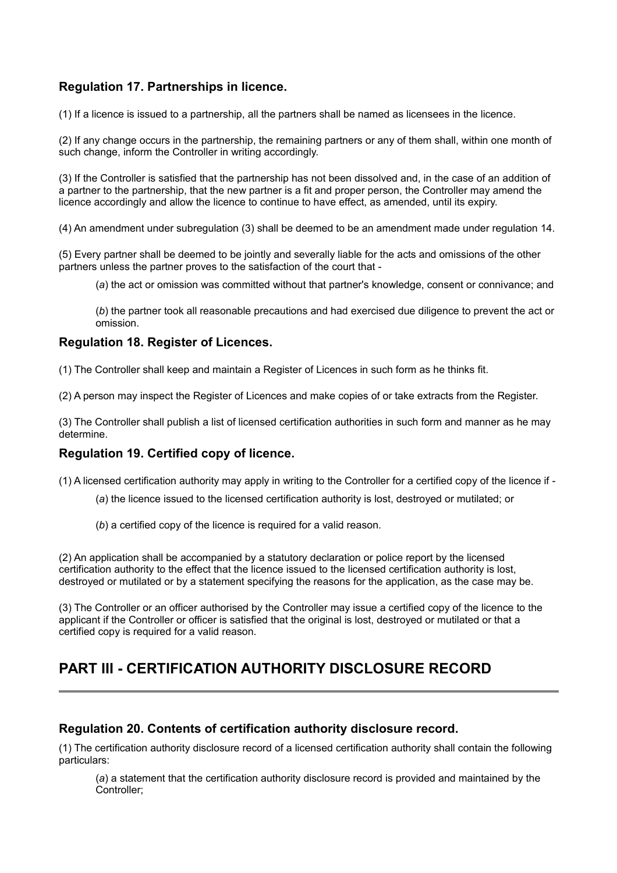# **Regulation 17. Partnerships in licence.**

(1) If a licence is issued to a partnership, all the partners shall be named as licensees in the licence.

(2) If any change occurs in the partnership, the remaining partners or any of them shall, within one month of such change, inform the Controller in writing accordingly.

(3) If the Controller is satisfied that the partnership has not been dissolved and, in the case of an addition of a partner to the partnership, that the new partner is a fit and proper person, the Controller may amend the licence accordingly and allow the licence to continue to have effect, as amended, until its expiry.

(4) An amendment under subregulation (3) shall be deemed to be an amendment made under regulation 14.

(5) Every partner shall be deemed to be jointly and severally liable for the acts and omissions of the other partners unless the partner proves to the satisfaction of the court that -

(*a*) the act or omission was committed without that partner's knowledge, consent or connivance; and

(*b*) the partner took all reasonable precautions and had exercised due diligence to prevent the act or omission.

### **Regulation 18. Register of Licences.**

(1) The Controller shall keep and maintain a Register of Licences in such form as he thinks fit.

(2) A person may inspect the Register of Licences and make copies of or take extracts from the Register.

(3) The Controller shall publish a list of licensed certification authorities in such form and manner as he may determine.

### **Regulation 19. Certified copy of licence.**

(1) A licensed certification authority may apply in writing to the Controller for a certified copy of the licence if -

- (*a*) the licence issued to the licensed certification authority is lost, destroyed or mutilated; or
- (*b*) a certified copy of the licence is required for a valid reason.

(2) An application shall be accompanied by a statutory declaration or police report by the licensed certification authority to the effect that the licence issued to the licensed certification authority is lost, destroyed or mutilated or by a statement specifying the reasons for the application, as the case may be.

(3) The Controller or an officer authorised by the Controller may issue a certified copy of the licence to the applicant if the Controller or officer is satisfied that the original is lost, destroyed or mutilated or that a certified copy is required for a valid reason.

# **PART III - CERTIFICATION AUTHORITY DISCLOSURE RECORD**

## **Regulation 20. Contents of certification authority disclosure record.**

(1) The certification authority disclosure record of a licensed certification authority shall contain the following particulars:

(*a*) a statement that the certification authority disclosure record is provided and maintained by the Controller;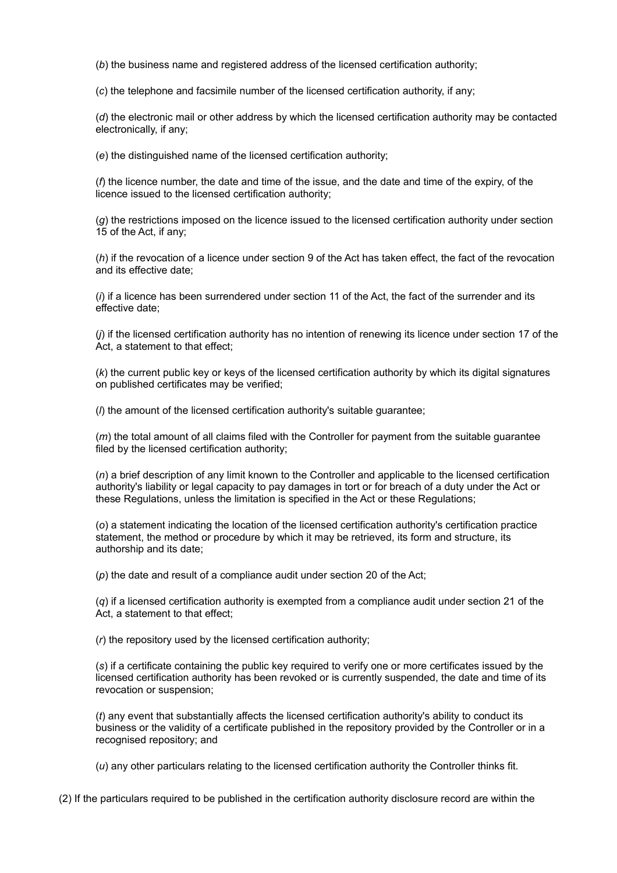(*b*) the business name and registered address of the licensed certification authority;

(*c*) the telephone and facsimile number of the licensed certification authority, if any;

(*d*) the electronic mail or other address by which the licensed certification authority may be contacted electronically, if any;

(*e*) the distinguished name of the licensed certification authority;

(*f*) the licence number, the date and time of the issue, and the date and time of the expiry, of the licence issued to the licensed certification authority;

(*g*) the restrictions imposed on the licence issued to the licensed certification authority under section 15 of the Act, if any;

(*h*) if the revocation of a licence under section 9 of the Act has taken effect, the fact of the revocation and its effective date;

(*i*) if a licence has been surrendered under section 11 of the Act, the fact of the surrender and its effective date;

(*j*) if the licensed certification authority has no intention of renewing its licence under section 17 of the Act, a statement to that effect;

(*k*) the current public key or keys of the licensed certification authority by which its digital signatures on published certificates may be verified;

(*l*) the amount of the licensed certification authority's suitable guarantee;

(*m*) the total amount of all claims filed with the Controller for payment from the suitable guarantee filed by the licensed certification authority;

(*n*) a brief description of any limit known to the Controller and applicable to the licensed certification authority's liability or legal capacity to pay damages in tort or for breach of a duty under the Act or these Regulations, unless the limitation is specified in the Act or these Regulations;

(*o*) a statement indicating the location of the licensed certification authority's certification practice statement, the method or procedure by which it may be retrieved, its form and structure, its authorship and its date;

(*p*) the date and result of a compliance audit under section 20 of the Act;

(*q*) if a licensed certification authority is exempted from a compliance audit under section 21 of the Act, a statement to that effect;

(*r*) the repository used by the licensed certification authority;

(*s*) if a certificate containing the public key required to verify one or more certificates issued by the licensed certification authority has been revoked or is currently suspended, the date and time of its revocation or suspension;

(*t*) any event that substantially affects the licensed certification authority's ability to conduct its business or the validity of a certificate published in the repository provided by the Controller or in a recognised repository; and

(*u*) any other particulars relating to the licensed certification authority the Controller thinks fit.

(2) If the particulars required to be published in the certification authority disclosure record are within the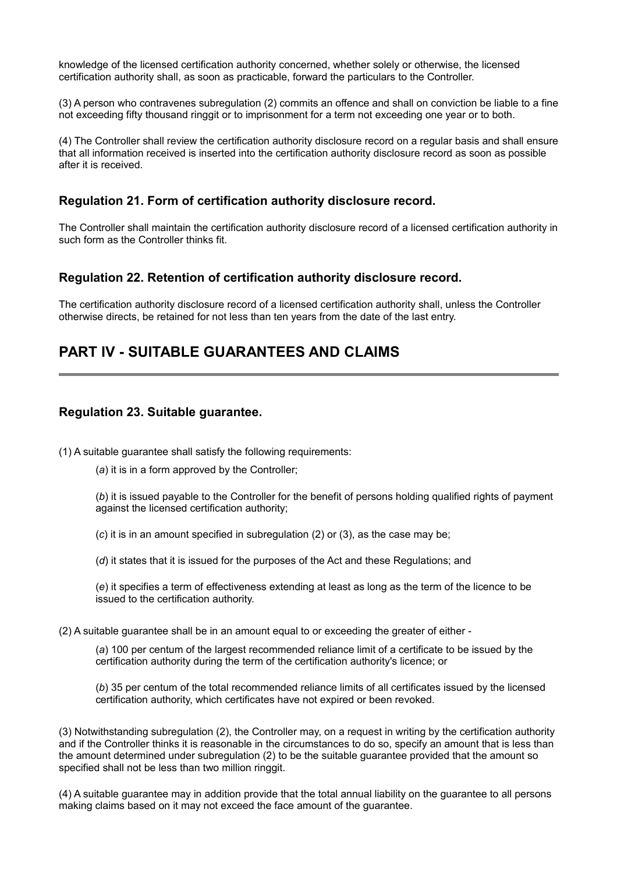knowledge of the licensed certification authority concerned, whether solely or otherwise, the licensed certification authority shall, as soon as practicable, forward the particulars to the Controller.

(3) A person who contravenes subregulation (2) commits an offence and shall on conviction be liable to a fine not exceeding fifty thousand ringgit or to imprisonment for a term not exceeding one year or to both.

(4) The Controller shall review the certification authority disclosure record on a regular basis and shall ensure that all information received is inserted into the certification authority disclosure record as soon as possible after it is received.

## **Regulation 21. Form of certification authority disclosure record.**

The Controller shall maintain the certification authority disclosure record of a licensed certification authority in such form as the Controller thinks fit.

### **Regulation 22. Retention of certification authority disclosure record.**

The certification authority disclosure record of a licensed certification authority shall, unless the Controller otherwise directs, be retained for not less than ten years from the date of the last entry.

# **PART IV - SUITABLE GUARANTEES AND CLAIMS**

## **Regulation 23. Suitable guarantee.**

(1) A suitable guarantee shall satisfy the following requirements:

(*a*) it is in a form approved by the Controller;

(*b*) it is issued payable to the Controller for the benefit of persons holding qualified rights of payment against the licensed certification authority;

(*c*) it is in an amount specified in subregulation (2) or (3), as the case may be;

(*d*) it states that it is issued for the purposes of the Act and these Regulations; and

(*e*) it specifies a term of effectiveness extending at least as long as the term of the licence to be issued to the certification authority.

(2) A suitable guarantee shall be in an amount equal to or exceeding the greater of either -

(*a*) 100 per centum of the largest recommended reliance limit of a certificate to be issued by the certification authority during the term of the certification authority's licence; or

(*b*) 35 per centum of the total recommended reliance limits of all certificates issued by the licensed certification authority, which certificates have not expired or been revoked.

(3) Notwithstanding subregulation (2), the Controller may, on a request in writing by the certification authority and if the Controller thinks it is reasonable in the circumstances to do so, specify an amount that is less than the amount determined under subregulation (2) to be the suitable guarantee provided that the amount so specified shall not be less than two million ringgit.

(4) A suitable guarantee may in addition provide that the total annual liability on the guarantee to all persons making claims based on it may not exceed the face amount of the guarantee.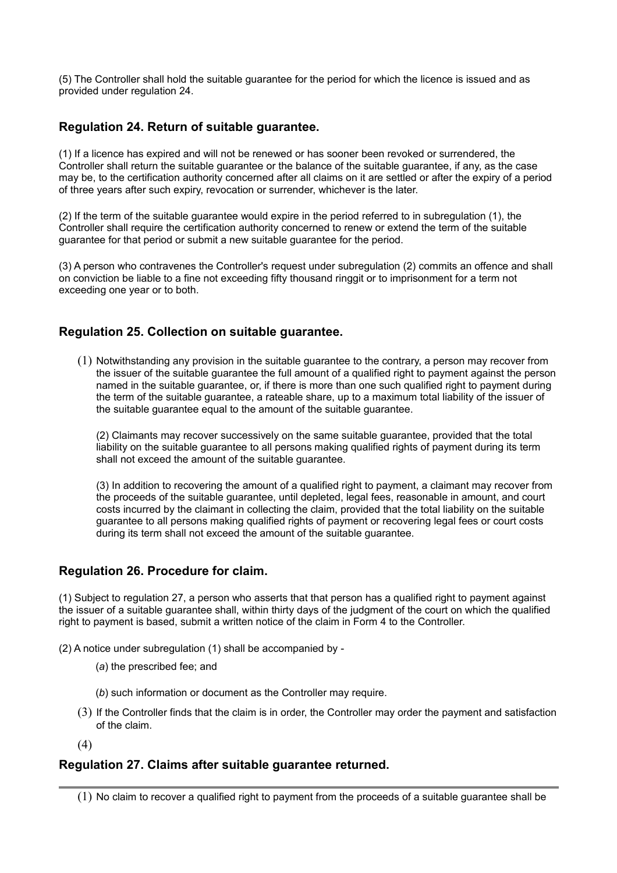(5) The Controller shall hold the suitable guarantee for the period for which the licence is issued and as provided under regulation 24.

## **Regulation 24. Return of suitable guarantee.**

(1) If a licence has expired and will not be renewed or has sooner been revoked or surrendered, the Controller shall return the suitable guarantee or the balance of the suitable guarantee, if any, as the case may be, to the certification authority concerned after all claims on it are settled or after the expiry of a period of three years after such expiry, revocation or surrender, whichever is the later.

(2) If the term of the suitable guarantee would expire in the period referred to in subregulation (1), the Controller shall require the certification authority concerned to renew or extend the term of the suitable guarantee for that period or submit a new suitable guarantee for the period.

(3) A person who contravenes the Controller's request under subregulation (2) commits an offence and shall on conviction be liable to a fine not exceeding fifty thousand ringgit or to imprisonment for a term not exceeding one year or to both.

## **Regulation 25. Collection on suitable guarantee.**

(1) Notwithstanding any provision in the suitable guarantee to the contrary, a person may recover from the issuer of the suitable guarantee the full amount of a qualified right to payment against the person named in the suitable guarantee, or, if there is more than one such qualified right to payment during the term of the suitable guarantee, a rateable share, up to a maximum total liability of the issuer of the suitable guarantee equal to the amount of the suitable guarantee.

(2) Claimants may recover successively on the same suitable guarantee, provided that the total liability on the suitable guarantee to all persons making qualified rights of payment during its term shall not exceed the amount of the suitable guarantee.

(3) In addition to recovering the amount of a qualified right to payment, a claimant may recover from the proceeds of the suitable guarantee, until depleted, legal fees, reasonable in amount, and court costs incurred by the claimant in collecting the claim, provided that the total liability on the suitable guarantee to all persons making qualified rights of payment or recovering legal fees or court costs during its term shall not exceed the amount of the suitable guarantee.

### **Regulation 26. Procedure for claim.**

(1) Subject to regulation 27, a person who asserts that that person has a qualified right to payment against the issuer of a suitable guarantee shall, within thirty days of the judgment of the court on which the qualified right to payment is based, submit a written notice of the claim in Form 4 to the Controller.

(2) A notice under subregulation (1) shall be accompanied by -

- (*a*) the prescribed fee; and
- (*b*) such information or document as the Controller may require.
- (3) If the Controller finds that the claim is in order, the Controller may order the payment and satisfaction of the claim.
- (4)

### **Regulation 27. Claims after suitable guarantee returned.**

<sup>(1)</sup> No claim to recover a qualified right to payment from the proceeds of a suitable guarantee shall be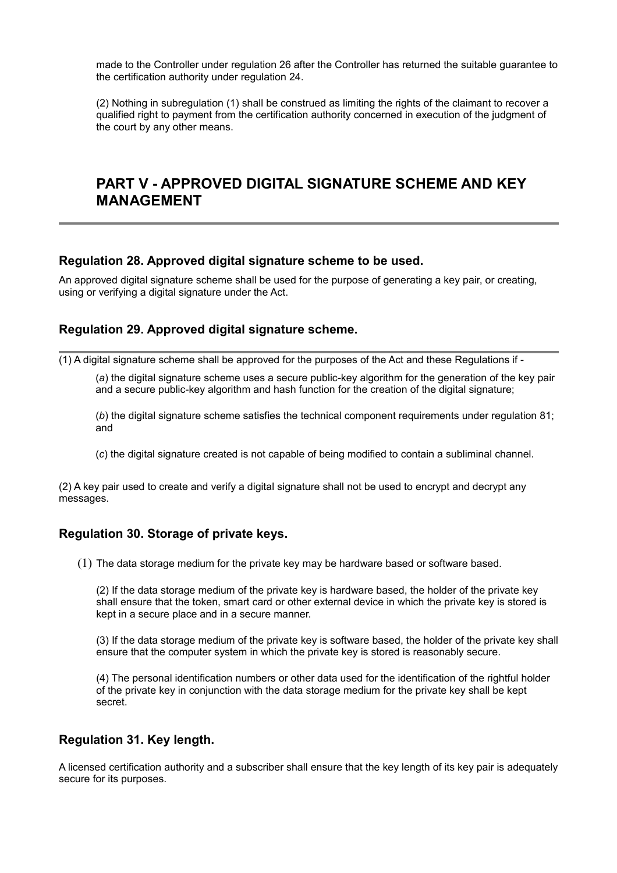made to the Controller under regulation 26 after the Controller has returned the suitable guarantee to the certification authority under regulation 24.

(2) Nothing in subregulation (1) shall be construed as limiting the rights of the claimant to recover a qualified right to payment from the certification authority concerned in execution of the judgment of the court by any other means.

# **PART V - APPROVED DIGITAL SIGNATURE SCHEME AND KEY MANAGEMENT**

### **Regulation 28. Approved digital signature scheme to be used.**

An approved digital signature scheme shall be used for the purpose of generating a key pair, or creating, using or verifying a digital signature under the Act.

## **Regulation 29. Approved digital signature scheme.**

 $(1)$  A digital signature scheme shall be approved for the purposes of the Act and these Regulations if -

(*a*) the digital signature scheme uses a secure public-key algorithm for the generation of the key pair and a secure public-key algorithm and hash function for the creation of the digital signature;

(*b*) the digital signature scheme satisfies the technical component requirements under regulation 81; and

(*c*) the digital signature created is not capable of being modified to contain a subliminal channel.

(2) A key pair used to create and verify a digital signature shall not be used to encrypt and decrypt any messages.

## **Regulation 30. Storage of private keys.**

(1) The data storage medium for the private key may be hardware based or software based.

(2) If the data storage medium of the private key is hardware based, the holder of the private key shall ensure that the token, smart card or other external device in which the private key is stored is kept in a secure place and in a secure manner.

(3) If the data storage medium of the private key is software based, the holder of the private key shall ensure that the computer system in which the private key is stored is reasonably secure.

(4) The personal identification numbers or other data used for the identification of the rightful holder of the private key in conjunction with the data storage medium for the private key shall be kept secret.

## **Regulation 31. Key length.**

A licensed certification authority and a subscriber shall ensure that the key length of its key pair is adequately secure for its purposes.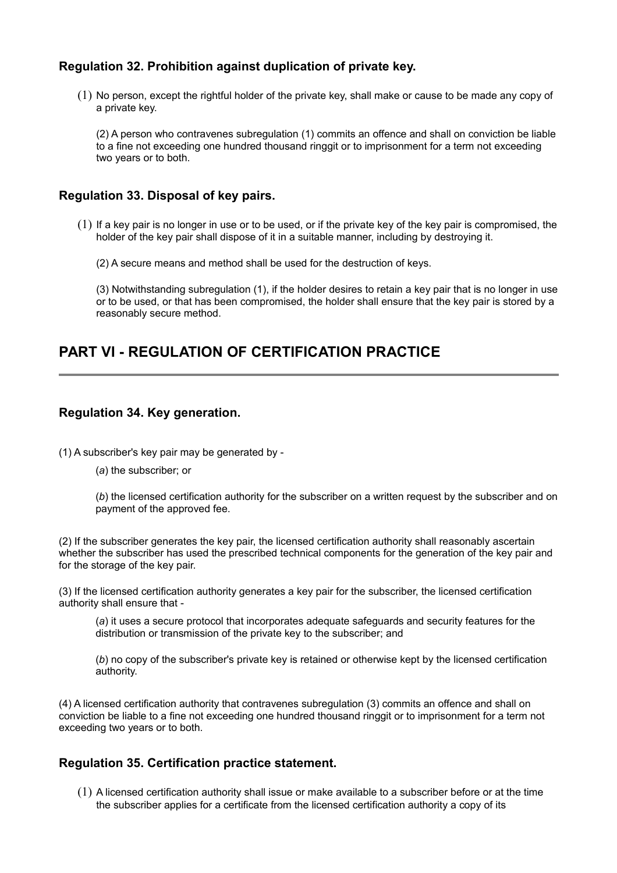## **Regulation 32. Prohibition against duplication of private key.**

(1) No person, except the rightful holder of the private key, shall make or cause to be made any copy of a private key.

(2) A person who contravenes subregulation (1) commits an offence and shall on conviction be liable to a fine not exceeding one hundred thousand ringgit or to imprisonment for a term not exceeding two years or to both.

## **Regulation 33. Disposal of key pairs.**

(1) If a key pair is no longer in use or to be used, or if the private key of the key pair is compromised, the holder of the key pair shall dispose of it in a suitable manner, including by destroying it.

(2) A secure means and method shall be used for the destruction of keys.

(3) Notwithstanding subregulation (1), if the holder desires to retain a key pair that is no longer in use or to be used, or that has been compromised, the holder shall ensure that the key pair is stored by a reasonably secure method.

# **PART VI - REGULATION OF CERTIFICATION PRACTICE**

## **Regulation 34. Key generation.**

(1) A subscriber's key pair may be generated by -

(*a*) the subscriber; or

(*b*) the licensed certification authority for the subscriber on a written request by the subscriber and on payment of the approved fee.

(2) If the subscriber generates the key pair, the licensed certification authority shall reasonably ascertain whether the subscriber has used the prescribed technical components for the generation of the key pair and for the storage of the key pair.

(3) If the licensed certification authority generates a key pair for the subscriber, the licensed certification authority shall ensure that -

(*a*) it uses a secure protocol that incorporates adequate safeguards and security features for the distribution or transmission of the private key to the subscriber; and

(*b*) no copy of the subscriber's private key is retained or otherwise kept by the licensed certification authority.

(4) A licensed certification authority that contravenes subregulation (3) commits an offence and shall on conviction be liable to a fine not exceeding one hundred thousand ringgit or to imprisonment for a term not exceeding two years or to both.

## **Regulation 35. Certification practice statement.**

(1) A licensed certification authority shall issue or make available to a subscriber before or at the time the subscriber applies for a certificate from the licensed certification authority a copy of its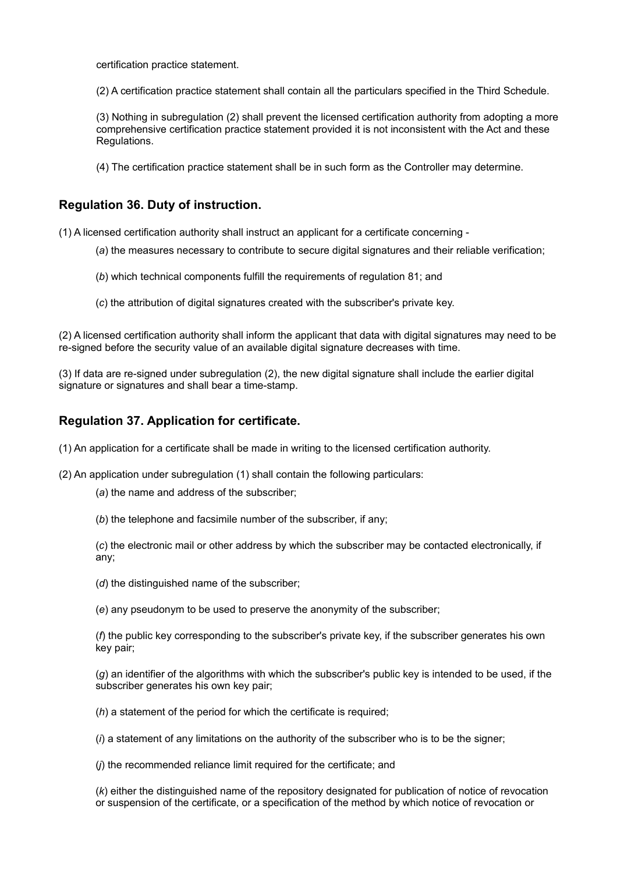certification practice statement.

(2) A certification practice statement shall contain all the particulars specified in the Third Schedule.

(3) Nothing in subregulation (2) shall prevent the licensed certification authority from adopting a more comprehensive certification practice statement provided it is not inconsistent with the Act and these Regulations.

(4) The certification practice statement shall be in such form as the Controller may determine.

## **Regulation 36. Duty of instruction.**

(1) A licensed certification authority shall instruct an applicant for a certificate concerning -

- (*a*) the measures necessary to contribute to secure digital signatures and their reliable verification;
- (*b*) which technical components fulfill the requirements of regulation 81; and
- (*c*) the attribution of digital signatures created with the subscriber's private key.

(2) A licensed certification authority shall inform the applicant that data with digital signatures may need to be re-signed before the security value of an available digital signature decreases with time.

(3) If data are re-signed under subregulation (2), the new digital signature shall include the earlier digital signature or signatures and shall bear a time-stamp.

## **Regulation 37. Application for certificate.**

(1) An application for a certificate shall be made in writing to the licensed certification authority.

(2) An application under subregulation (1) shall contain the following particulars:

(*a*) the name and address of the subscriber;

(*b*) the telephone and facsimile number of the subscriber, if any;

(*c*) the electronic mail or other address by which the subscriber may be contacted electronically, if any;

(*d*) the distinguished name of the subscriber;

(*e*) any pseudonym to be used to preserve the anonymity of the subscriber;

(*f*) the public key corresponding to the subscriber's private key, if the subscriber generates his own key pair;

(*g*) an identifier of the algorithms with which the subscriber's public key is intended to be used, if the subscriber generates his own key pair;

(*h*) a statement of the period for which the certificate is required;

(*i*) a statement of any limitations on the authority of the subscriber who is to be the signer;

(*j*) the recommended reliance limit required for the certificate; and

(*k*) either the distinguished name of the repository designated for publication of notice of revocation or suspension of the certificate, or a specification of the method by which notice of revocation or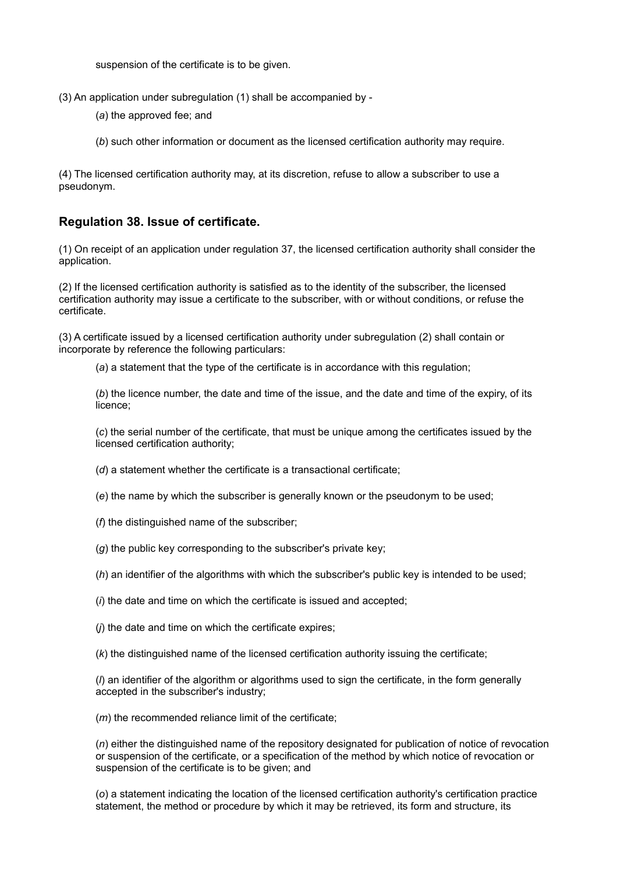suspension of the certificate is to be given.

- (3) An application under subregulation (1) shall be accompanied by
	- (*a*) the approved fee; and
	- (*b*) such other information or document as the licensed certification authority may require.

(4) The licensed certification authority may, at its discretion, refuse to allow a subscriber to use a pseudonym.

## **Regulation 38. Issue of certificate.**

(1) On receipt of an application under regulation 37, the licensed certification authority shall consider the application.

(2) If the licensed certification authority is satisfied as to the identity of the subscriber, the licensed certification authority may issue a certificate to the subscriber, with or without conditions, or refuse the certificate.

(3) A certificate issued by a licensed certification authority under subregulation (2) shall contain or incorporate by reference the following particulars:

(*a*) a statement that the type of the certificate is in accordance with this regulation;

(*b*) the licence number, the date and time of the issue, and the date and time of the expiry, of its licence;

(*c*) the serial number of the certificate, that must be unique among the certificates issued by the licensed certification authority;

(*d*) a statement whether the certificate is a transactional certificate;

- (*e*) the name by which the subscriber is generally known or the pseudonym to be used;
- (*f*) the distinguished name of the subscriber;
- (*g*) the public key corresponding to the subscriber's private key;
- (*h*) an identifier of the algorithms with which the subscriber's public key is intended to be used;
- (*i*) the date and time on which the certificate is issued and accepted;
- (*j*) the date and time on which the certificate expires;

(*k*) the distinguished name of the licensed certification authority issuing the certificate;

(*l*) an identifier of the algorithm or algorithms used to sign the certificate, in the form generally accepted in the subscriber's industry;

(*m*) the recommended reliance limit of the certificate;

(*n*) either the distinguished name of the repository designated for publication of notice of revocation or suspension of the certificate, or a specification of the method by which notice of revocation or suspension of the certificate is to be given; and

(*o*) a statement indicating the location of the licensed certification authority's certification practice statement, the method or procedure by which it may be retrieved, its form and structure, its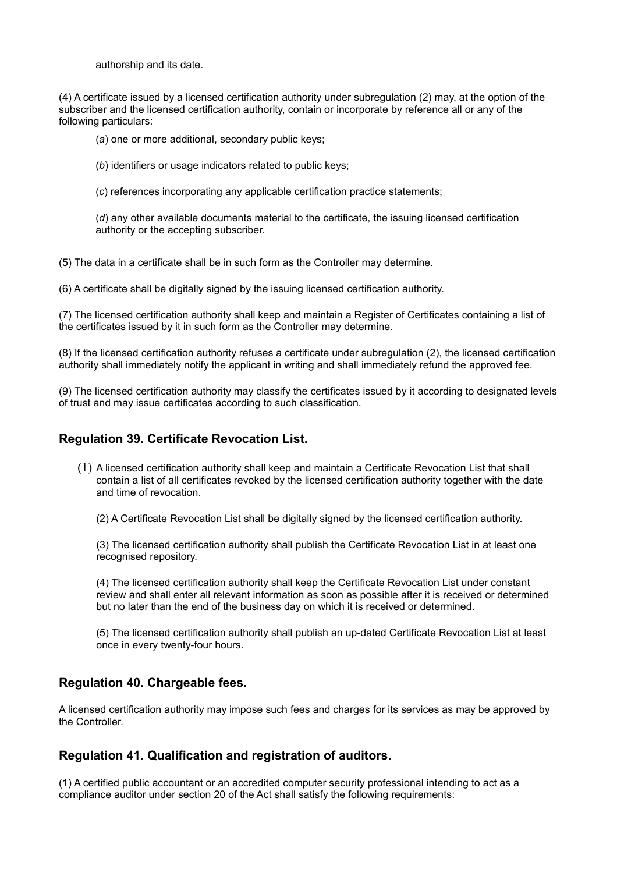authorship and its date.

(4) A certificate issued by a licensed certification authority under subregulation (2) may, at the option of the subscriber and the licensed certification authority, contain or incorporate by reference all or any of the following particulars:

(*a*) one or more additional, secondary public keys;

(*b*) identifiers or usage indicators related to public keys;

(*c*) references incorporating any applicable certification practice statements;

(*d*) any other available documents material to the certificate, the issuing licensed certification authority or the accepting subscriber.

(5) The data in a certificate shall be in such form as the Controller may determine.

(6) A certificate shall be digitally signed by the issuing licensed certification authority.

(7) The licensed certification authority shall keep and maintain a Register of Certificates containing a list of the certificates issued by it in such form as the Controller may determine.

(8) If the licensed certification authority refuses a certificate under subregulation (2), the licensed certification authority shall immediately notify the applicant in writing and shall immediately refund the approved fee.

(9) The licensed certification authority may classify the certificates issued by it according to designated levels of trust and may issue certificates according to such classification.

## **Regulation 39. Certificate Revocation List.**

(1) A licensed certification authority shall keep and maintain a Certificate Revocation List that shall contain a list of all certificates revoked by the licensed certification authority together with the date and time of revocation.

(2) A Certificate Revocation List shall be digitally signed by the licensed certification authority.

(3) The licensed certification authority shall publish the Certificate Revocation List in at least one recognised repository.

(4) The licensed certification authority shall keep the Certificate Revocation List under constant review and shall enter all relevant information as soon as possible after it is received or determined but no later than the end of the business day on which it is received or determined.

(5) The licensed certification authority shall publish an up-dated Certificate Revocation List at least once in every twenty-four hours.

## **Regulation 40. Chargeable fees.**

A licensed certification authority may impose such fees and charges for its services as may be approved by the Controller.

## **Regulation 41. Qualification and registration of auditors.**

(1) A certified public accountant or an accredited computer security professional intending to act as a compliance auditor under section 20 of the Act shall satisfy the following requirements: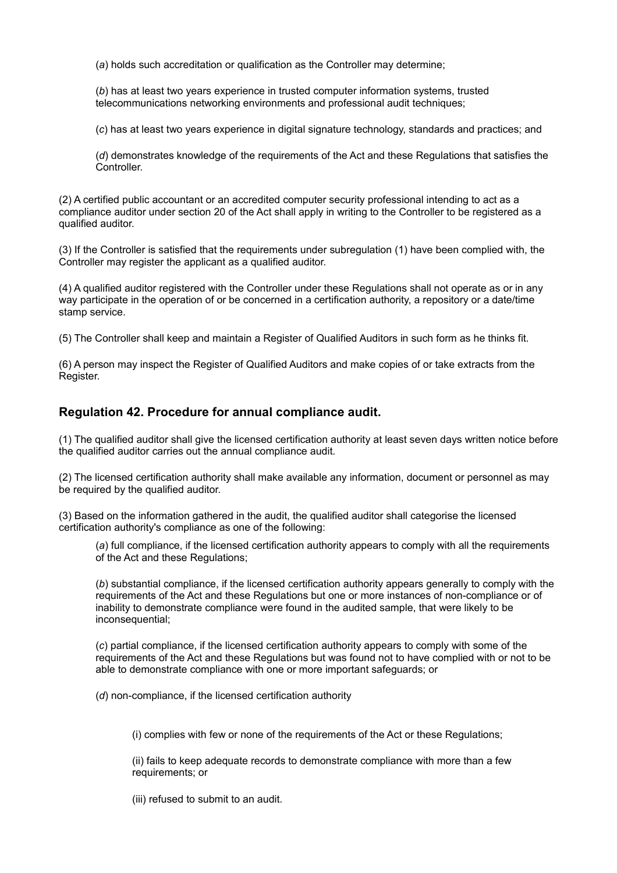(*a*) holds such accreditation or qualification as the Controller may determine;

(*b*) has at least two years experience in trusted computer information systems, trusted telecommunications networking environments and professional audit techniques;

(*c*) has at least two years experience in digital signature technology, standards and practices; and

(*d*) demonstrates knowledge of the requirements of the Act and these Regulations that satisfies the Controller.

(2) A certified public accountant or an accredited computer security professional intending to act as a compliance auditor under section 20 of the Act shall apply in writing to the Controller to be registered as a qualified auditor.

(3) If the Controller is satisfied that the requirements under subregulation (1) have been complied with, the Controller may register the applicant as a qualified auditor.

(4) A qualified auditor registered with the Controller under these Regulations shall not operate as or in any way participate in the operation of or be concerned in a certification authority, a repository or a date/time stamp service.

(5) The Controller shall keep and maintain a Register of Qualified Auditors in such form as he thinks fit.

(6) A person may inspect the Register of Qualified Auditors and make copies of or take extracts from the Register.

## **Regulation 42. Procedure for annual compliance audit.**

(1) The qualified auditor shall give the licensed certification authority at least seven days written notice before the qualified auditor carries out the annual compliance audit.

(2) The licensed certification authority shall make available any information, document or personnel as may be required by the qualified auditor.

(3) Based on the information gathered in the audit, the qualified auditor shall categorise the licensed certification authority's compliance as one of the following:

(*a*) full compliance, if the licensed certification authority appears to comply with all the requirements of the Act and these Regulations;

(*b*) substantial compliance, if the licensed certification authority appears generally to comply with the requirements of the Act and these Regulations but one or more instances of non-compliance or of inability to demonstrate compliance were found in the audited sample, that were likely to be inconsequential:

(*c*) partial compliance, if the licensed certification authority appears to comply with some of the requirements of the Act and these Regulations but was found not to have complied with or not to be able to demonstrate compliance with one or more important safeguards; or

(*d*) non-compliance, if the licensed certification authority

(i) complies with few or none of the requirements of the Act or these Regulations;

(ii) fails to keep adequate records to demonstrate compliance with more than a few requirements; or

(iii) refused to submit to an audit.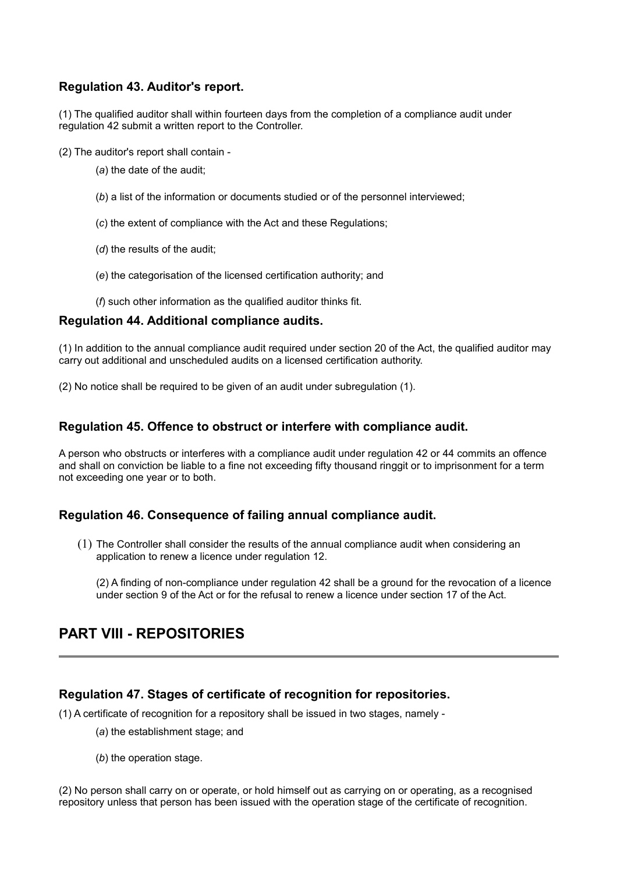## **Regulation 43. Auditor's report.**

(1) The qualified auditor shall within fourteen days from the completion of a compliance audit under regulation 42 submit a written report to the Controller.

(2) The auditor's report shall contain -

- (*a*) the date of the audit;
- (*b*) a list of the information or documents studied or of the personnel interviewed;
- (*c*) the extent of compliance with the Act and these Regulations;
- (*d*) the results of the audit;
- (*e*) the categorisation of the licensed certification authority; and

(*f*) such other information as the qualified auditor thinks fit.

#### **Regulation 44. Additional compliance audits.**

(1) In addition to the annual compliance audit required under section 20 of the Act, the qualified auditor may carry out additional and unscheduled audits on a licensed certification authority.

(2) No notice shall be required to be given of an audit under subregulation (1).

## **Regulation 45. Offence to obstruct or interfere with compliance audit.**

A person who obstructs or interferes with a compliance audit under regulation 42 or 44 commits an offence and shall on conviction be liable to a fine not exceeding fifty thousand ringgit or to imprisonment for a term not exceeding one year or to both.

### **Regulation 46. Consequence of failing annual compliance audit.**

(1) The Controller shall consider the results of the annual compliance audit when considering an application to renew a licence under regulation 12.

(2) A finding of non-compliance under regulation 42 shall be a ground for the revocation of a licence under section 9 of the Act or for the refusal to renew a licence under section 17 of the Act.

# **PART VIII - REPOSITORIES**

## **Regulation 47. Stages of certificate of recognition for repositories.**

(1) A certificate of recognition for a repository shall be issued in two stages, namely -

- (*a*) the establishment stage; and
- (*b*) the operation stage.

(2) No person shall carry on or operate, or hold himself out as carrying on or operating, as a recognised repository unless that person has been issued with the operation stage of the certificate of recognition.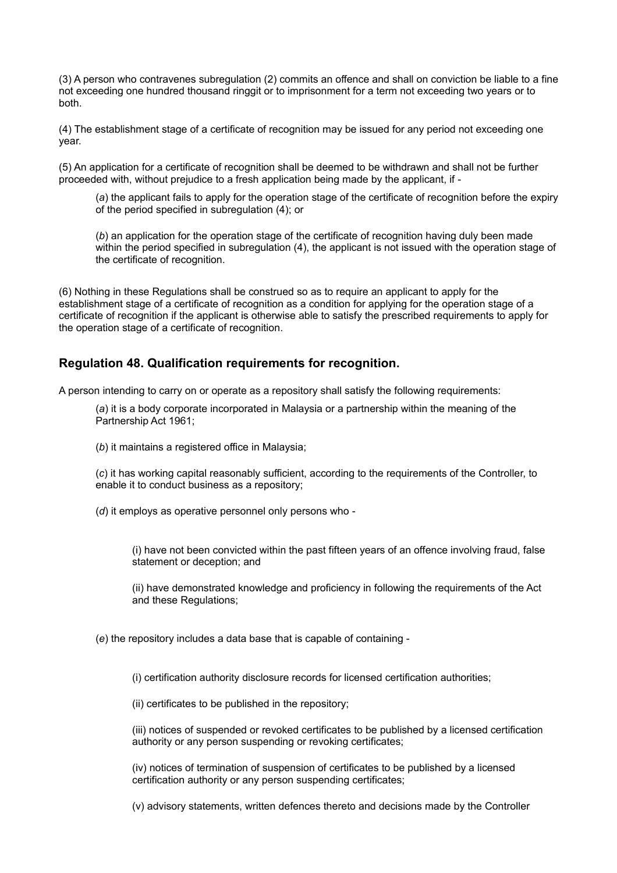(3) A person who contravenes subregulation (2) commits an offence and shall on conviction be liable to a fine not exceeding one hundred thousand ringgit or to imprisonment for a term not exceeding two years or to both.

(4) The establishment stage of a certificate of recognition may be issued for any period not exceeding one year.

(5) An application for a certificate of recognition shall be deemed to be withdrawn and shall not be further proceeded with, without prejudice to a fresh application being made by the applicant, if -

(*a*) the applicant fails to apply for the operation stage of the certificate of recognition before the expiry of the period specified in subregulation (4); or

(*b*) an application for the operation stage of the certificate of recognition having duly been made within the period specified in subregulation (4), the applicant is not issued with the operation stage of the certificate of recognition.

(6) Nothing in these Regulations shall be construed so as to require an applicant to apply for the establishment stage of a certificate of recognition as a condition for applying for the operation stage of a certificate of recognition if the applicant is otherwise able to satisfy the prescribed requirements to apply for the operation stage of a certificate of recognition.

## **Regulation 48. Qualification requirements for recognition.**

A person intending to carry on or operate as a repository shall satisfy the following requirements:

(*a*) it is a body corporate incorporated in Malaysia or a partnership within the meaning of the Partnership Act 1961;

(*b*) it maintains a registered office in Malaysia;

(*c*) it has working capital reasonably sufficient, according to the requirements of the Controller, to enable it to conduct business as a repository;

(*d*) it employs as operative personnel only persons who -

(i) have not been convicted within the past fifteen years of an offence involving fraud, false statement or deception; and

(ii) have demonstrated knowledge and proficiency in following the requirements of the Act and these Regulations;

(*e*) the repository includes a data base that is capable of containing -

(i) certification authority disclosure records for licensed certification authorities;

(ii) certificates to be published in the repository;

(iii) notices of suspended or revoked certificates to be published by a licensed certification authority or any person suspending or revoking certificates;

(iv) notices of termination of suspension of certificates to be published by a licensed certification authority or any person suspending certificates;

(v) advisory statements, written defences thereto and decisions made by the Controller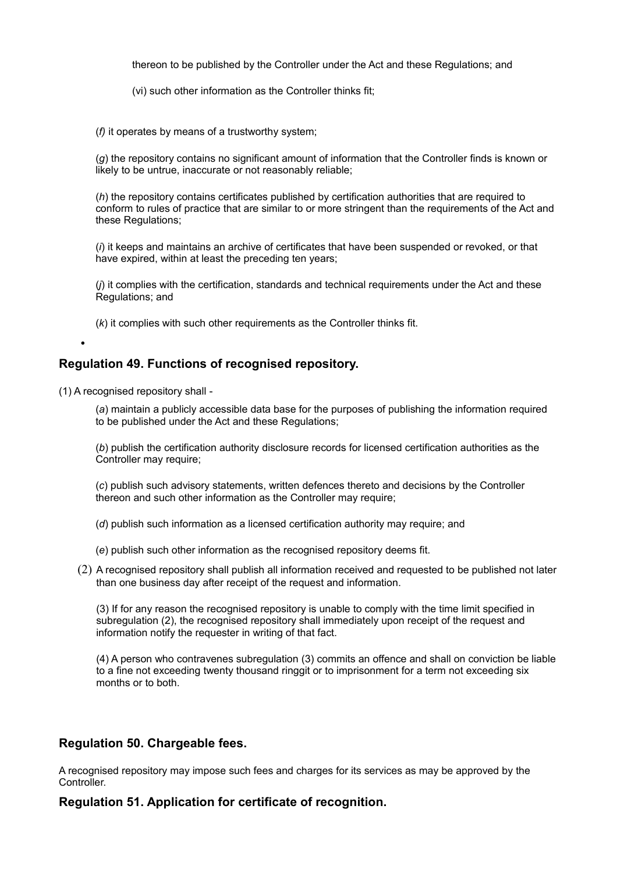thereon to be published by the Controller under the Act and these Regulations; and

(vi) such other information as the Controller thinks fit;

(*f)* it operates by means of a trustworthy system;

(*g*) the repository contains no significant amount of information that the Controller finds is known or likely to be untrue, inaccurate or not reasonably reliable;

(*h*) the repository contains certificates published by certification authorities that are required to conform to rules of practice that are similar to or more stringent than the requirements of the Act and these Regulations;

(*i*) it keeps and maintains an archive of certificates that have been suspended or revoked, or that have expired, within at least the preceding ten years;

(*j*) it complies with the certification, standards and technical requirements under the Act and these Regulations; and

(*k*) it complies with such other requirements as the Controller thinks fit.

## **Regulation 49. Functions of recognised repository.**

(1) A recognised repository shall -

•

(*a*) maintain a publicly accessible data base for the purposes of publishing the information required to be published under the Act and these Regulations;

(*b*) publish the certification authority disclosure records for licensed certification authorities as the Controller may require;

(*c*) publish such advisory statements, written defences thereto and decisions by the Controller thereon and such other information as the Controller may require;

(*d*) publish such information as a licensed certification authority may require; and

- (*e*) publish such other information as the recognised repository deems fit.
- (2) A recognised repository shall publish all information received and requested to be published not later than one business day after receipt of the request and information.

(3) If for any reason the recognised repository is unable to comply with the time limit specified in subregulation (2), the recognised repository shall immediately upon receipt of the request and information notify the requester in writing of that fact.

(4) A person who contravenes subregulation (3) commits an offence and shall on conviction be liable to a fine not exceeding twenty thousand ringgit or to imprisonment for a term not exceeding six months or to both.

### **Regulation 50. Chargeable fees.**

A recognised repository may impose such fees and charges for its services as may be approved by the Controller.

**Regulation 51. Application for certificate of recognition.**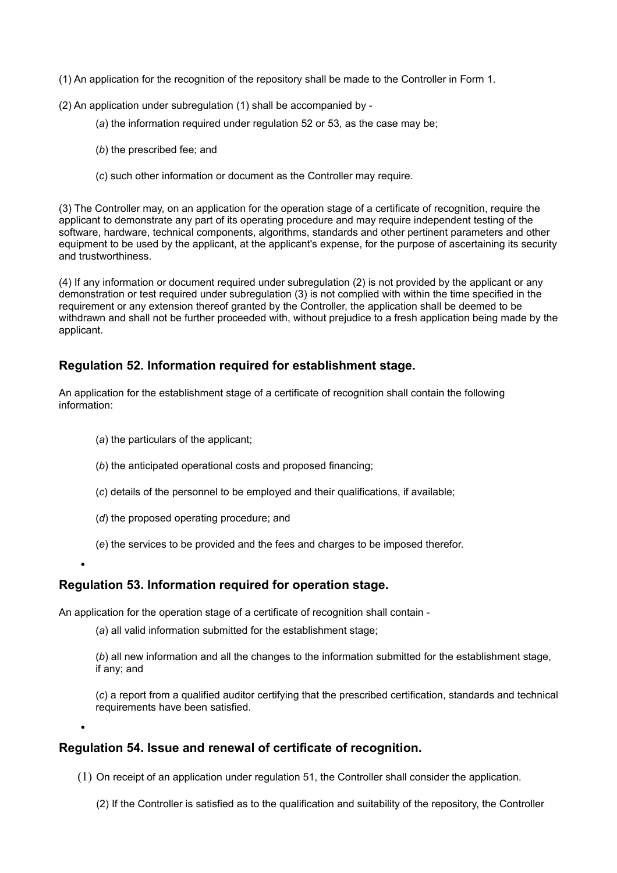- (1) An application for the recognition of the repository shall be made to the Controller in Form 1.
- (2) An application under subregulation (1) shall be accompanied by
	- (*a*) the information required under regulation 52 or 53, as the case may be;
	- (*b*) the prescribed fee; and
	- (*c*) such other information or document as the Controller may require.

(3) The Controller may, on an application for the operation stage of a certificate of recognition, require the applicant to demonstrate any part of its operating procedure and may require independent testing of the software, hardware, technical components, algorithms, standards and other pertinent parameters and other equipment to be used by the applicant, at the applicant's expense, for the purpose of ascertaining its security and trustworthiness.

(4) If any information or document required under subregulation (2) is not provided by the applicant or any demonstration or test required under subregulation (3) is not complied with within the time specified in the requirement or any extension thereof granted by the Controller, the application shall be deemed to be withdrawn and shall not be further proceeded with, without prejudice to a fresh application being made by the applicant.

## **Regulation 52. Information required for establishment stage.**

An application for the establishment stage of a certificate of recognition shall contain the following information:

- (*a*) the particulars of the applicant;
- (*b*) the anticipated operational costs and proposed financing;
- (*c*) details of the personnel to be employed and their qualifications, if available;
- (*d*) the proposed operating procedure; and
- (*e*) the services to be provided and the fees and charges to be imposed therefor.

# • **Regulation 53. Information required for operation stage.**

•

An application for the operation stage of a certificate of recognition shall contain -

(*a*) all valid information submitted for the establishment stage;

(*b*) all new information and all the changes to the information submitted for the establishment stage, if any; and

(*c*) a report from a qualified auditor certifying that the prescribed certification, standards and technical requirements have been satisfied.

### **Regulation 54. Issue and renewal of certificate of recognition.**

- (1) On receipt of an application under regulation 51, the Controller shall consider the application.
	- (2) If the Controller is satisfied as to the qualification and suitability of the repository, the Controller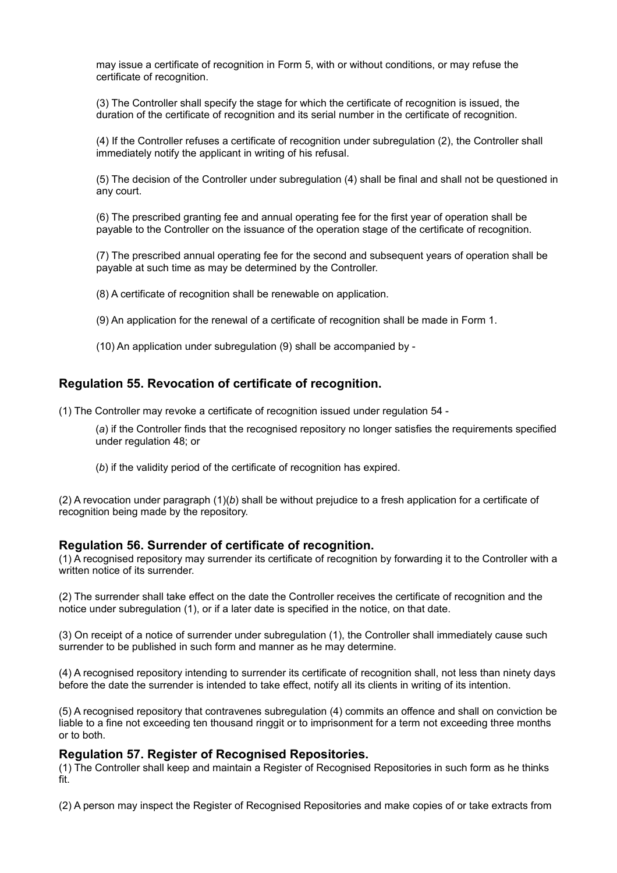may issue a certificate of recognition in Form 5, with or without conditions, or may refuse the certificate of recognition.

(3) The Controller shall specify the stage for which the certificate of recognition is issued, the duration of the certificate of recognition and its serial number in the certificate of recognition.

(4) If the Controller refuses a certificate of recognition under subregulation (2), the Controller shall immediately notify the applicant in writing of his refusal.

(5) The decision of the Controller under subregulation (4) shall be final and shall not be questioned in any court.

(6) The prescribed granting fee and annual operating fee for the first year of operation shall be payable to the Controller on the issuance of the operation stage of the certificate of recognition.

(7) The prescribed annual operating fee for the second and subsequent years of operation shall be payable at such time as may be determined by the Controller.

(8) A certificate of recognition shall be renewable on application.

(9) An application for the renewal of a certificate of recognition shall be made in Form 1.

(10) An application under subregulation (9) shall be accompanied by -

### **Regulation 55. Revocation of certificate of recognition.**

(1) The Controller may revoke a certificate of recognition issued under regulation 54 -

(*a*) if the Controller finds that the recognised repository no longer satisfies the requirements specified under regulation 48; or

(*b*) if the validity period of the certificate of recognition has expired.

(2) A revocation under paragraph (1)(*b*) shall be without prejudice to a fresh application for a certificate of recognition being made by the repository.

#### **Regulation 56. Surrender of certificate of recognition.**

(1) A recognised repository may surrender its certificate of recognition by forwarding it to the Controller with a written notice of its surrender.

(2) The surrender shall take effect on the date the Controller receives the certificate of recognition and the notice under subregulation (1), or if a later date is specified in the notice, on that date.

(3) On receipt of a notice of surrender under subregulation (1), the Controller shall immediately cause such surrender to be published in such form and manner as he may determine.

(4) A recognised repository intending to surrender its certificate of recognition shall, not less than ninety days before the date the surrender is intended to take effect, notify all its clients in writing of its intention.

(5) A recognised repository that contravenes subregulation (4) commits an offence and shall on conviction be liable to a fine not exceeding ten thousand ringgit or to imprisonment for a term not exceeding three months or to both.

#### **Regulation 57. Register of Recognised Repositories.**

(1) The Controller shall keep and maintain a Register of Recognised Repositories in such form as he thinks fit.

(2) A person may inspect the Register of Recognised Repositories and make copies of or take extracts from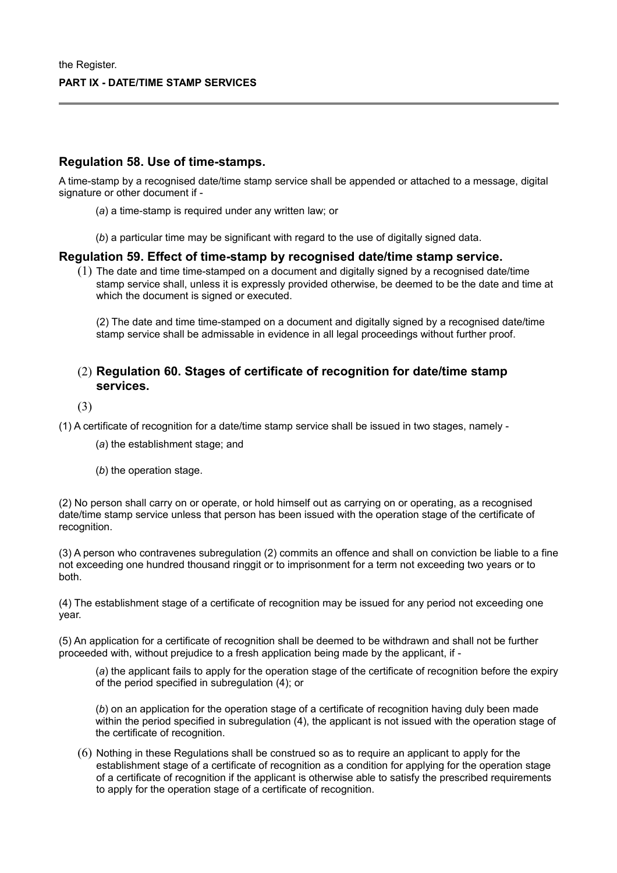### **Regulation 58. Use of time-stamps.**

A time-stamp by a recognised date/time stamp service shall be appended or attached to a message, digital signature or other document if -

- (*a*) a time-stamp is required under any written law; or
- (*b*) a particular time may be significant with regard to the use of digitally signed data.

#### **Regulation 59. Effect of time-stamp by recognised date/time stamp service.**

(1) The date and time time-stamped on a document and digitally signed by a recognised date/time stamp service shall, unless it is expressly provided otherwise, be deemed to be the date and time at which the document is signed or executed.

(2) The date and time time-stamped on a document and digitally signed by a recognised date/time stamp service shall be admissable in evidence in all legal proceedings without further proof.

## (2) **Regulation 60. Stages of certificate of recognition for date/time stamp services.**

(3)

(1) A certificate of recognition for a date/time stamp service shall be issued in two stages, namely -

(*a*) the establishment stage; and

(*b*) the operation stage.

(2) No person shall carry on or operate, or hold himself out as carrying on or operating, as a recognised date/time stamp service unless that person has been issued with the operation stage of the certificate of recognition.

(3) A person who contravenes subregulation (2) commits an offence and shall on conviction be liable to a fine not exceeding one hundred thousand ringgit or to imprisonment for a term not exceeding two years or to both.

(4) The establishment stage of a certificate of recognition may be issued for any period not exceeding one year.

(5) An application for a certificate of recognition shall be deemed to be withdrawn and shall not be further proceeded with, without prejudice to a fresh application being made by the applicant, if -

(*a*) the applicant fails to apply for the operation stage of the certificate of recognition before the expiry of the period specified in subregulation (4); or

(*b*) on an application for the operation stage of a certificate of recognition having duly been made within the period specified in subregulation (4), the applicant is not issued with the operation stage of the certificate of recognition.

(6) Nothing in these Regulations shall be construed so as to require an applicant to apply for the establishment stage of a certificate of recognition as a condition for applying for the operation stage of a certificate of recognition if the applicant is otherwise able to satisfy the prescribed requirements to apply for the operation stage of a certificate of recognition.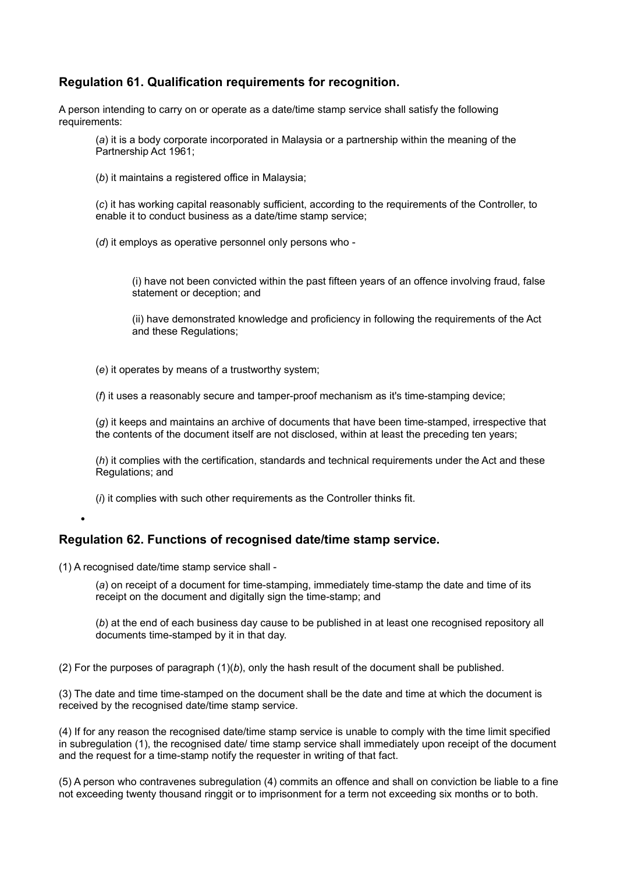## **Regulation 61. Qualification requirements for recognition.**

A person intending to carry on or operate as a date/time stamp service shall satisfy the following requirements:

(*a*) it is a body corporate incorporated in Malaysia or a partnership within the meaning of the Partnership Act 1961;

(*b*) it maintains a registered office in Malaysia;

(*c*) it has working capital reasonably sufficient, according to the requirements of the Controller, to enable it to conduct business as a date/time stamp service;

(*d*) it employs as operative personnel only persons who -

(i) have not been convicted within the past fifteen years of an offence involving fraud, false statement or deception; and

(ii) have demonstrated knowledge and proficiency in following the requirements of the Act and these Regulations;

(*e*) it operates by means of a trustworthy system;

(*f*) it uses a reasonably secure and tamper-proof mechanism as it's time-stamping device;

(*g*) it keeps and maintains an archive of documents that have been time-stamped, irrespective that the contents of the document itself are not disclosed, within at least the preceding ten years;

(*h*) it complies with the certification, standards and technical requirements under the Act and these Regulations; and

(*i*) it complies with such other requirements as the Controller thinks fit.

**Regulation 62. Functions of recognised date/time stamp service.**

(1) A recognised date/time stamp service shall -

•

(*a*) on receipt of a document for time-stamping, immediately time-stamp the date and time of its receipt on the document and digitally sign the time-stamp; and

(*b*) at the end of each business day cause to be published in at least one recognised repository all documents time-stamped by it in that day.

(2) For the purposes of paragraph  $(1)(b)$ , only the hash result of the document shall be published.

(3) The date and time time-stamped on the document shall be the date and time at which the document is received by the recognised date/time stamp service.

(4) If for any reason the recognised date/time stamp service is unable to comply with the time limit specified in subregulation (1), the recognised date/ time stamp service shall immediately upon receipt of the document and the request for a time-stamp notify the requester in writing of that fact.

(5) A person who contravenes subregulation (4) commits an offence and shall on conviction be liable to a fine not exceeding twenty thousand ringgit or to imprisonment for a term not exceeding six months or to both.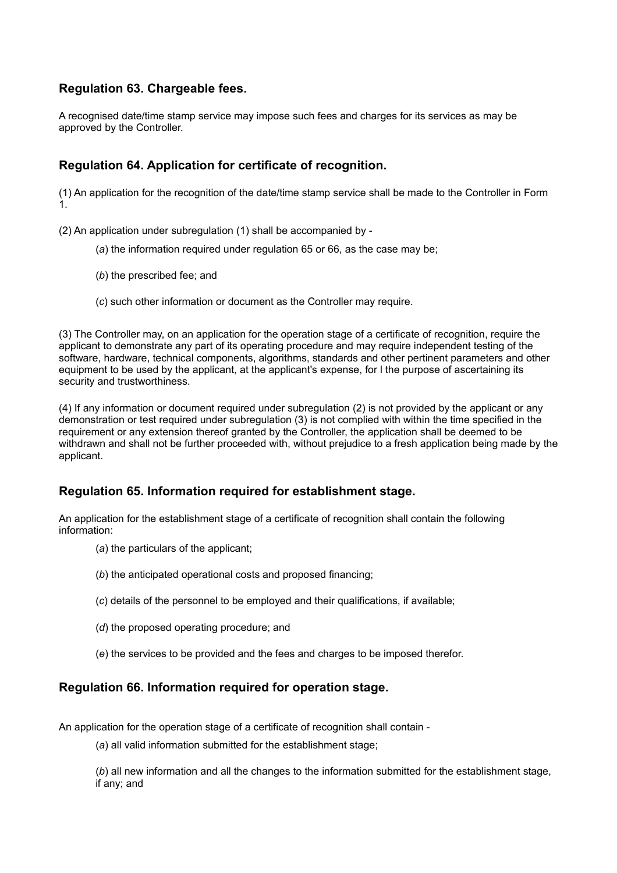# **Regulation 63. Chargeable fees.**

A recognised date/time stamp service may impose such fees and charges for its services as may be approved by the Controller.

## **Regulation 64. Application for certificate of recognition.**

(1) An application for the recognition of the date/time stamp service shall be made to the Controller in Form 1.

(2) An application under subregulation (1) shall be accompanied by -

- (*a*) the information required under regulation 65 or 66, as the case may be;
- (*b*) the prescribed fee; and
- (*c*) such other information or document as the Controller may require.

(3) The Controller may, on an application for the operation stage of a certificate of recognition, require the applicant to demonstrate any part of its operating procedure and may require independent testing of the software, hardware, technical components, algorithms, standards and other pertinent parameters and other equipment to be used by the applicant, at the applicant's expense, for l the purpose of ascertaining its security and trustworthiness.

(4) If any information or document required under subregulation (2) is not provided by the applicant or any demonstration or test required under subregulation (3) is not complied with within the time specified in the requirement or any extension thereof granted by the Controller, the application shall be deemed to be withdrawn and shall not be further proceeded with, without prejudice to a fresh application being made by the applicant.

### **Regulation 65. Information required for establishment stage.**

An application for the establishment stage of a certificate of recognition shall contain the following information:

- (*a*) the particulars of the applicant;
- (*b*) the anticipated operational costs and proposed financing;
- (*c*) details of the personnel to be employed and their qualifications, if available;
- (*d*) the proposed operating procedure; and
- (*e*) the services to be provided and the fees and charges to be imposed therefor.

### **Regulation 66. Information required for operation stage.**

An application for the operation stage of a certificate of recognition shall contain -

(*a*) all valid information submitted for the establishment stage;

(*b*) all new information and all the changes to the information submitted for the establishment stage, if any; and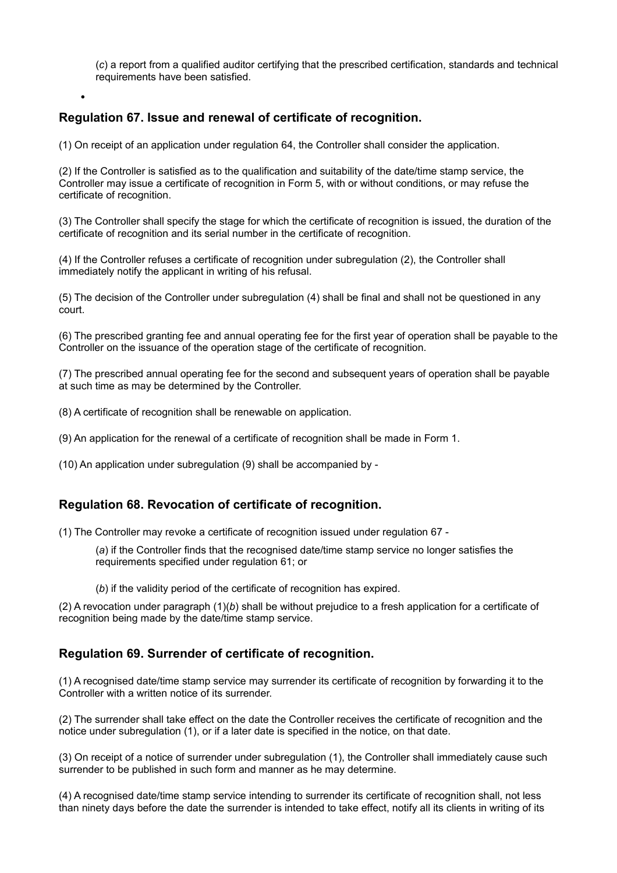(*c*) a report from a qualified auditor certifying that the prescribed certification, standards and technical requirements have been satisfied.

# **Regulation 67. Issue and renewal of certificate of recognition.**

•

(1) On receipt of an application under regulation 64, the Controller shall consider the application.

(2) If the Controller is satisfied as to the qualification and suitability of the date/time stamp service, the Controller may issue a certificate of recognition in Form 5, with or without conditions, or may refuse the certificate of recognition.

(3) The Controller shall specify the stage for which the certificate of recognition is issued, the duration of the certificate of recognition and its serial number in the certificate of recognition.

(4) If the Controller refuses a certificate of recognition under subregulation (2), the Controller shall immediately notify the applicant in writing of his refusal.

(5) The decision of the Controller under subregulation (4) shall be final and shall not be questioned in any court.

(6) The prescribed granting fee and annual operating fee for the first year of operation shall be payable to the Controller on the issuance of the operation stage of the certificate of recognition.

(7) The prescribed annual operating fee for the second and subsequent years of operation shall be payable at such time as may be determined by the Controller.

(8) A certificate of recognition shall be renewable on application.

(9) An application for the renewal of a certificate of recognition shall be made in Form 1.

(10) An application under subregulation (9) shall be accompanied by -

### **Regulation 68. Revocation of certificate of recognition.**

(1) The Controller may revoke a certificate of recognition issued under regulation 67 -

(*a*) if the Controller finds that the recognised date/time stamp service no longer satisfies the requirements specified under regulation 61; or

(*b*) if the validity period of the certificate of recognition has expired.

(2) A revocation under paragraph (1)(*b*) shall be without prejudice to a fresh application for a certificate of recognition being made by the date/time stamp service.

### **Regulation 69. Surrender of certificate of recognition.**

(1) A recognised date/time stamp service may surrender its certificate of recognition by forwarding it to the Controller with a written notice of its surrender.

(2) The surrender shall take effect on the date the Controller receives the certificate of recognition and the notice under subregulation (1), or if a later date is specified in the notice, on that date.

(3) On receipt of a notice of surrender under subregulation (1), the Controller shall immediately cause such surrender to be published in such form and manner as he may determine.

(4) A recognised date/time stamp service intending to surrender its certificate of recognition shall, not less than ninety days before the date the surrender is intended to take effect, notify all its clients in writing of its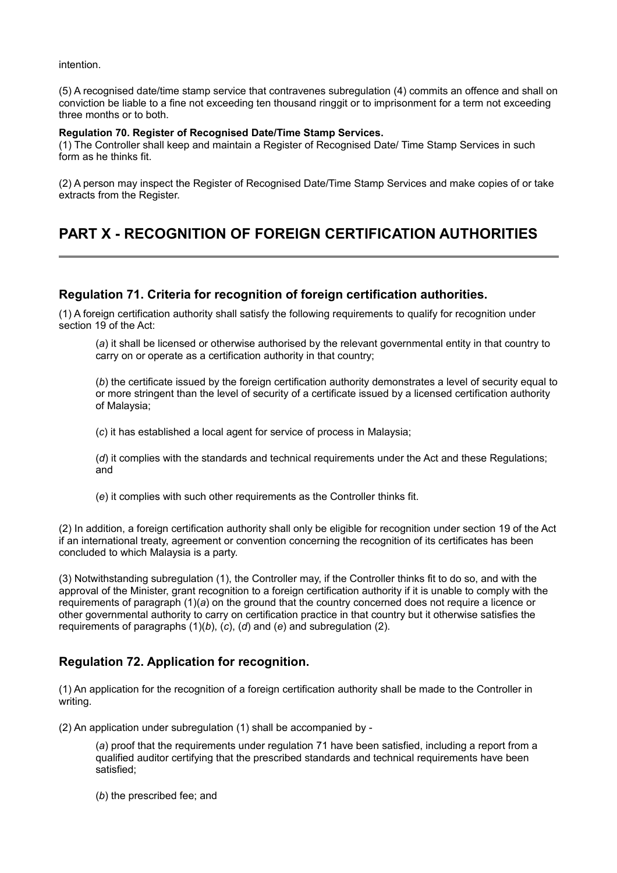intention.

(5) A recognised date/time stamp service that contravenes subregulation (4) commits an offence and shall on conviction be liable to a fine not exceeding ten thousand ringgit or to imprisonment for a term not exceeding three months or to both.

#### **Regulation 70. Register of Recognised Date/Time Stamp Services.**

(1) The Controller shall keep and maintain a Register of Recognised Date/ Time Stamp Services in such form as he thinks fit.

(2) A person may inspect the Register of Recognised Date/Time Stamp Services and make copies of or take extracts from the Register.

# **PART X - RECOGNITION OF FOREIGN CERTIFICATION AUTHORITIES**

### **Regulation 71. Criteria for recognition of foreign certification authorities.**

(1) A foreign certification authority shall satisfy the following requirements to qualify for recognition under section 19 of the Act:

(*a*) it shall be licensed or otherwise authorised by the relevant governmental entity in that country to carry on or operate as a certification authority in that country;

(b) the certificate issued by the foreign certification authority demonstrates a level of security equal to or more stringent than the level of security of a certificate issued by a licensed certification authority of Malaysia;

(*c*) it has established a local agent for service of process in Malaysia;

(*d*) it complies with the standards and technical requirements under the Act and these Regulations; and

(*e*) it complies with such other requirements as the Controller thinks fit.

(2) In addition, a foreign certification authority shall only be eligible for recognition under section 19 of the Act if an international treaty, agreement or convention concerning the recognition of its certificates has been concluded to which Malaysia is a party.

(3) Notwithstanding subregulation (1), the Controller may, if the Controller thinks fit to do so, and with the approval of the Minister, grant recognition to a foreign certification authority if it is unable to comply with the requirements of paragraph (1)(*a*) on the ground that the country concerned does not require a licence or other governmental authority to carry on certification practice in that country but it otherwise satisfies the requirements of paragraphs (1)(*b*), (*c*), (*d*) and (*e*) and subregulation (2).

## **Regulation 72. Application for recognition.**

(1) An application for the recognition of a foreign certification authority shall be made to the Controller in writing.

(2) An application under subregulation (1) shall be accompanied by -

(*a*) proof that the requirements under regulation 71 have been satisfied, including a report from a qualified auditor certifying that the prescribed standards and technical requirements have been satisfied;

(*b*) the prescribed fee; and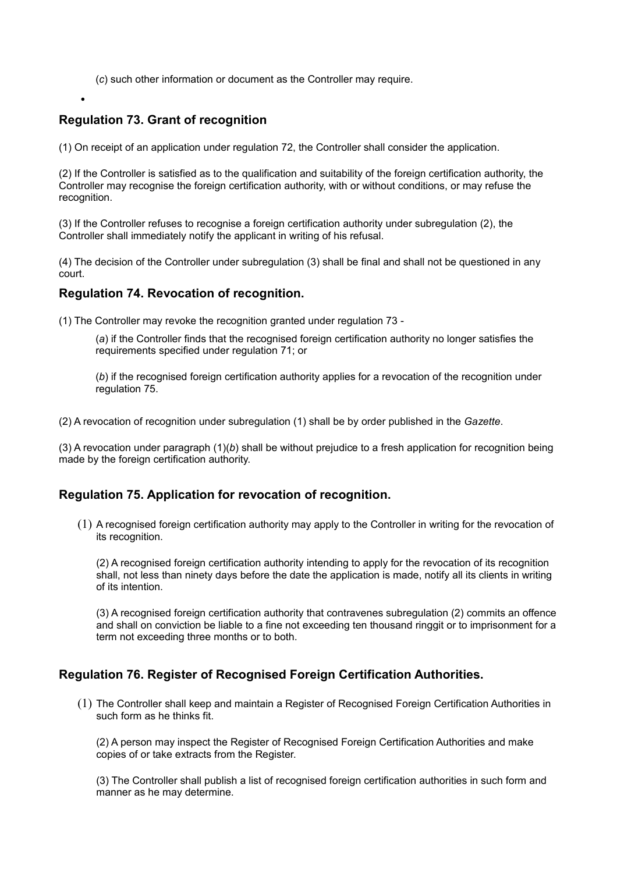(*c*) such other information or document as the Controller may require.

# **Regulation 73. Grant of recognition**

•

(1) On receipt of an application under regulation 72, the Controller shall consider the application.

(2) If the Controller is satisfied as to the qualification and suitability of the foreign certification authority, the Controller may recognise the foreign certification authority, with or without conditions, or may refuse the recognition.

(3) If the Controller refuses to recognise a foreign certification authority under subregulation (2), the Controller shall immediately notify the applicant in writing of his refusal.

(4) The decision of the Controller under subregulation (3) shall be final and shall not be questioned in any court.

#### **Regulation 74. Revocation of recognition.**

(1) The Controller may revoke the recognition granted under regulation 73 -

(*a*) if the Controller finds that the recognised foreign certification authority no longer satisfies the requirements specified under regulation 71; or

(*b*) if the recognised foreign certification authority applies for a revocation of the recognition under regulation 75.

(2) A revocation of recognition under subregulation (1) shall be by order published in the *Gazette*.

(3) A revocation under paragraph (1)(*b*) shall be without prejudice to a fresh application for recognition being made by the foreign certification authority.

### **Regulation 75. Application for revocation of recognition.**

(1) A recognised foreign certification authority may apply to the Controller in writing for the revocation of its recognition.

(2) A recognised foreign certification authority intending to apply for the revocation of its recognition shall, not less than ninety days before the date the application is made, notify all its clients in writing of its intention.

(3) A recognised foreign certification authority that contravenes subregulation (2) commits an offence and shall on conviction be liable to a fine not exceeding ten thousand ringgit or to imprisonment for a term not exceeding three months or to both.

### **Regulation 76. Register of Recognised Foreign Certification Authorities.**

(1) The Controller shall keep and maintain a Register of Recognised Foreign Certification Authorities in such form as he thinks fit.

(2) A person may inspect the Register of Recognised Foreign Certification Authorities and make copies of or take extracts from the Register.

(3) The Controller shall publish a list of recognised foreign certification authorities in such form and manner as he may determine.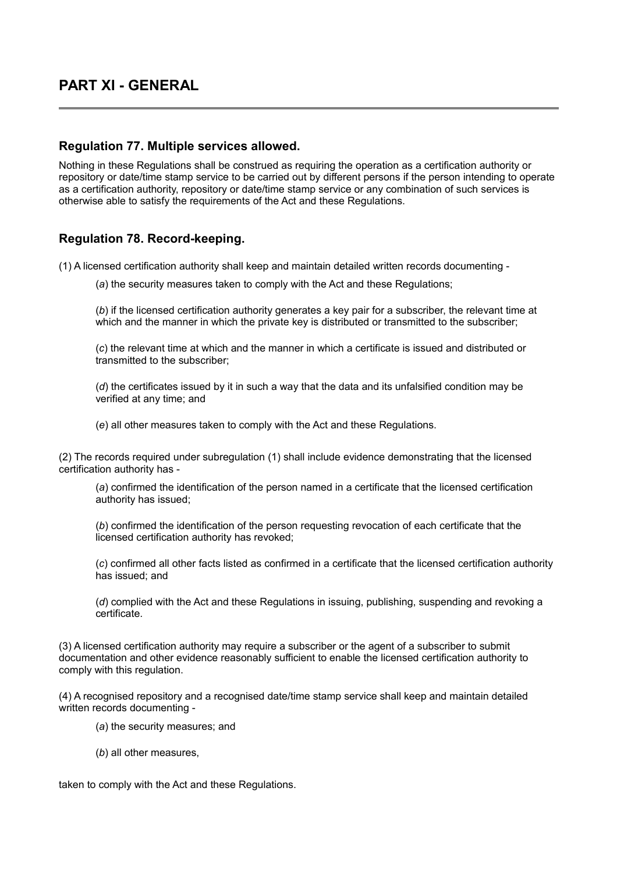# **PART XI - GENERAL**

#### **Regulation 77. Multiple services allowed.**

Nothing in these Regulations shall be construed as requiring the operation as a certification authority or repository or date/time stamp service to be carried out by different persons if the person intending to operate as a certification authority, repository or date/time stamp service or any combination of such services is otherwise able to satisfy the requirements of the Act and these Regulations.

## **Regulation 78. Record-keeping.**

(1) A licensed certification authority shall keep and maintain detailed written records documenting -

(*a*) the security measures taken to comply with the Act and these Regulations;

(*b*) if the licensed certification authority generates a key pair for a subscriber, the relevant time at which and the manner in which the private key is distributed or transmitted to the subscriber;

(*c*) the relevant time at which and the manner in which a certificate is issued and distributed or transmitted to the subscriber;

(*d*) the certificates issued by it in such a way that the data and its unfalsified condition may be verified at any time; and

(*e*) all other measures taken to comply with the Act and these Regulations.

(2) The records required under subregulation (1) shall include evidence demonstrating that the licensed certification authority has -

(*a*) confirmed the identification of the person named in a certificate that the licensed certification authority has issued;

(*b*) confirmed the identification of the person requesting revocation of each certificate that the licensed certification authority has revoked;

(*c*) confirmed all other facts listed as confirmed in a certificate that the licensed certification authority has issued; and

(*d*) complied with the Act and these Regulations in issuing, publishing, suspending and revoking a certificate.

(3) A licensed certification authority may require a subscriber or the agent of a subscriber to submit documentation and other evidence reasonably sufficient to enable the licensed certification authority to comply with this regulation.

(4) A recognised repository and a recognised date/time stamp service shall keep and maintain detailed written records documenting -

(*a*) the security measures; and

(*b*) all other measures,

taken to comply with the Act and these Regulations.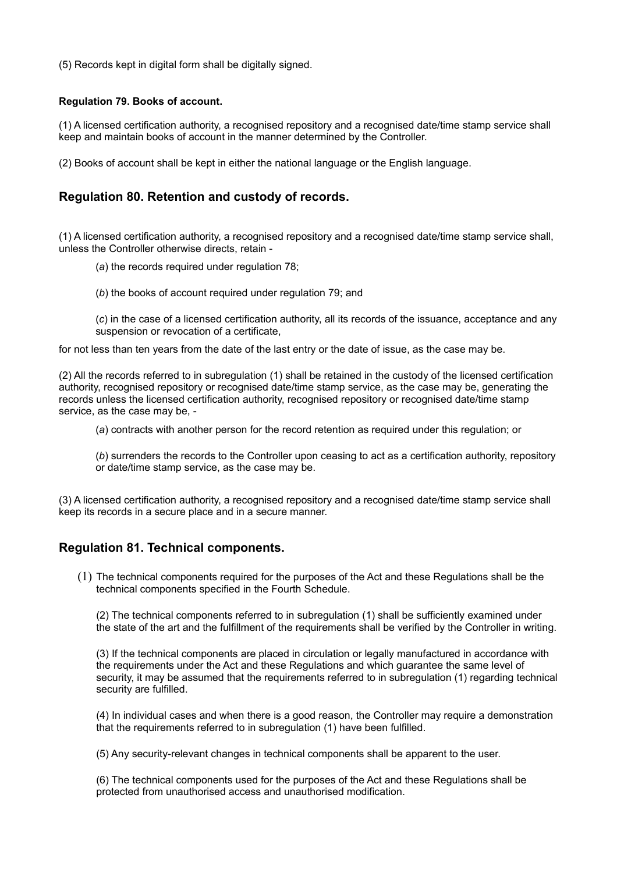(5) Records kept in digital form shall be digitally signed.

#### **Regulation 79. Books of account.**

(1) A licensed certification authority, a recognised repository and a recognised date/time stamp service shall keep and maintain books of account in the manner determined by the Controller.

(2) Books of account shall be kept in either the national language or the English language.

#### **Regulation 80. Retention and custody of records.**

(1) A licensed certification authority, a recognised repository and a recognised date/time stamp service shall, unless the Controller otherwise directs, retain -

- (*a*) the records required under regulation 78;
- (*b*) the books of account required under regulation 79; and

(*c*) in the case of a licensed certification authority, all its records of the issuance, acceptance and any suspension or revocation of a certificate,

for not less than ten years from the date of the last entry or the date of issue, as the case may be.

(2) All the records referred to in subregulation (1) shall be retained in the custody of the licensed certification authority, recognised repository or recognised date/time stamp service, as the case may be, generating the records unless the licensed certification authority, recognised repository or recognised date/time stamp service, as the case may be, -

(*a*) contracts with another person for the record retention as required under this regulation; or

(3) A licensed certification authority, a recognised repository and a recognised date/time stamp service shall keep its records in a secure place and in a secure manner.

#### **Regulation 81. Technical components.**

(1) The technical components required for the purposes of the Act and these Regulations shall be the technical components specified in the Fourth Schedule.

(2) The technical components referred to in subregulation (1) shall be sufficiently examined under the state of the art and the fulfillment of the requirements shall be verified by the Controller in writing.

(3) If the technical components are placed in circulation or legally manufactured in accordance with the requirements under the Act and these Regulations and which guarantee the same level of security, it may be assumed that the requirements referred to in subregulation (1) regarding technical security are fulfilled.

(4) In individual cases and when there is a good reason, the Controller may require a demonstration that the requirements referred to in subregulation (1) have been fulfilled.

(5) Any security-relevant changes in technical components shall be apparent to the user.

(6) The technical components used for the purposes of the Act and these Regulations shall be protected from unauthorised access and unauthorised modification.

<sup>(</sup>*b*) surrenders the records to the Controller upon ceasing to act as a certification authority, repository or date/time stamp service, as the case may be.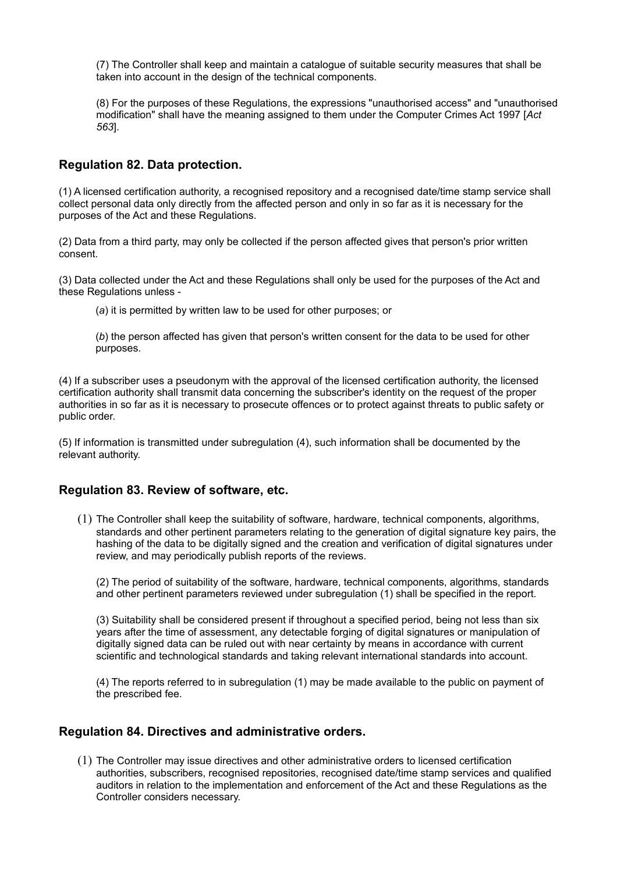(7) The Controller shall keep and maintain a catalogue of suitable security measures that shall be taken into account in the design of the technical components.

(8) For the purposes of these Regulations, the expressions "unauthorised access" and "unauthorised modification" shall have the meaning assigned to them under the Computer Crimes Act 1997 [*Act 563*].

## **Regulation 82. Data protection.**

(1) A licensed certification authority, a recognised repository and a recognised date/time stamp service shall collect personal data only directly from the affected person and only in so far as it is necessary for the purposes of the Act and these Regulations.

(2) Data from a third party, may only be collected if the person affected gives that person's prior written consent.

(3) Data collected under the Act and these Regulations shall only be used for the purposes of the Act and these Regulations unless -

(*a*) it is permitted by written law to be used for other purposes; or

(*b*) the person affected has given that person's written consent for the data to be used for other purposes.

(4) If a subscriber uses a pseudonym with the approval of the licensed certification authority, the licensed certification authority shall transmit data concerning the subscriber's identity on the request of the proper authorities in so far as it is necessary to prosecute offences or to protect against threats to public safety or public order.

(5) If information is transmitted under subregulation (4), such information shall be documented by the relevant authority.

### **Regulation 83. Review of software, etc.**

(1) The Controller shall keep the suitability of software, hardware, technical components, algorithms, standards and other pertinent parameters relating to the generation of digital signature key pairs, the hashing of the data to be digitally signed and the creation and verification of digital signatures under review, and may periodically publish reports of the reviews.

(2) The period of suitability of the software, hardware, technical components, algorithms, standards and other pertinent parameters reviewed under subregulation (1) shall be specified in the report.

(3) Suitability shall be considered present if throughout a specified period, being not less than six years after the time of assessment, any detectable forging of digital signatures or manipulation of digitally signed data can be ruled out with near certainty by means in accordance with current scientific and technological standards and taking relevant international standards into account.

(4) The reports referred to in subregulation (1) may be made available to the public on payment of the prescribed fee.

## **Regulation 84. Directives and administrative orders.**

(1) The Controller may issue directives and other administrative orders to licensed certification authorities, subscribers, recognised repositories, recognised date/time stamp services and qualified auditors in relation to the implementation and enforcement of the Act and these Regulations as the Controller considers necessary.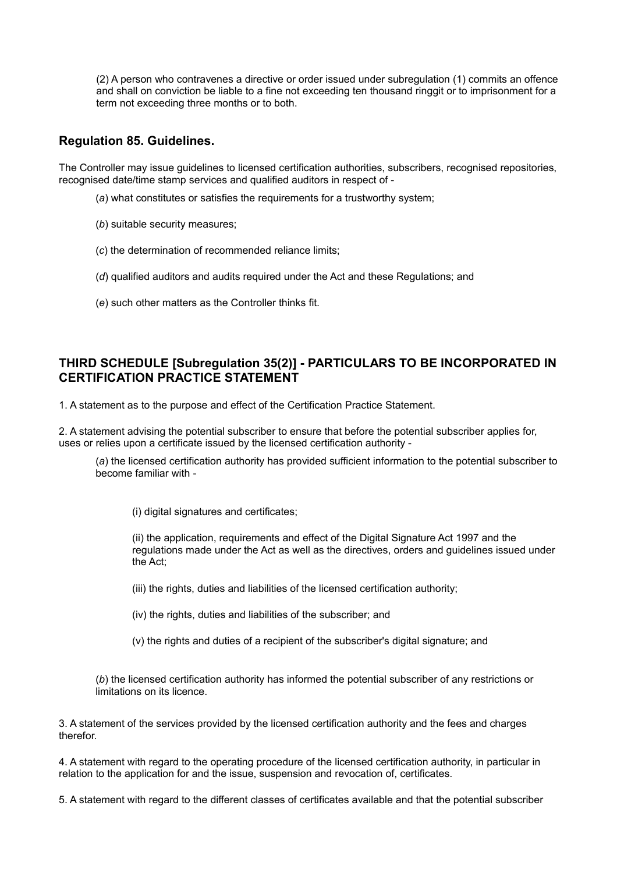(2) A person who contravenes a directive or order issued under subregulation (1) commits an offence and shall on conviction be liable to a fine not exceeding ten thousand ringgit or to imprisonment for a term not exceeding three months or to both.

## **Regulation 85. Guidelines.**

The Controller may issue guidelines to licensed certification authorities, subscribers, recognised repositories, recognised date/time stamp services and qualified auditors in respect of -

- (*a*) what constitutes or satisfies the requirements for a trustworthy system;
- (*b*) suitable security measures;
- (*c*) the determination of recommended reliance limits;
- (*d*) qualified auditors and audits required under the Act and these Regulations; and
- (*e*) such other matters as the Controller thinks fit.

## **THIRD SCHEDULE [Subregulation 35(2)] - PARTICULARS TO BE INCORPORATED IN CERTIFICATION PRACTICE STATEMENT**

1. A statement as to the purpose and effect of the Certification Practice Statement.

2. A statement advising the potential subscriber to ensure that before the potential subscriber applies for, uses or relies upon a certificate issued by the licensed certification authority -

(*a*) the licensed certification authority has provided sufficient information to the potential subscriber to become familiar with -

(i) digital signatures and certificates;

(ii) the application, requirements and effect of the Digital Signature Act 1997 and the regulations made under the Act as well as the directives, orders and guidelines issued under the Act;

(iii) the rights, duties and liabilities of the licensed certification authority;

(iv) the rights, duties and liabilities of the subscriber; and

(v) the rights and duties of a recipient of the subscriber's digital signature; and

(*b*) the licensed certification authority has informed the potential subscriber of any restrictions or limitations on its licence.

3. A statement of the services provided by the licensed certification authority and the fees and charges therefor.

4. A statement with regard to the operating procedure of the licensed certification authority, in particular in relation to the application for and the issue, suspension and revocation of, certificates.

5. A statement with regard to the different classes of certificates available and that the potential subscriber